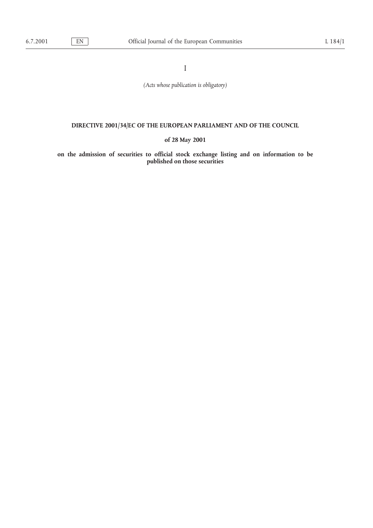I

*(Acts whose publication is obligatory)*

### **DIRECTIVE 2001/34/EC OF THE EUROPEAN PARLIAMENT AND OF THE COUNCIL**

### **of 28 May 2001**

**on the admission of securities to official stock exchange listing and on information to be published on those securities**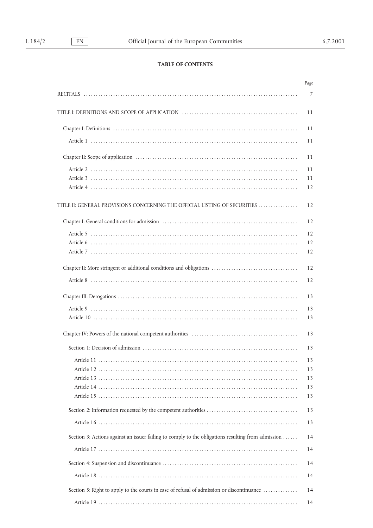### TABLE OF CONTENTS

|                                                                                                    | Page |
|----------------------------------------------------------------------------------------------------|------|
|                                                                                                    | 7    |
|                                                                                                    | 11   |
|                                                                                                    | 11   |
|                                                                                                    | 11   |
|                                                                                                    | 11   |
|                                                                                                    | 11   |
|                                                                                                    | 11   |
|                                                                                                    | 12   |
| TITLE II: GENERAL PROVISIONS CONCERNING THE OFFICIAL LISTING OF SECURITIES                         | 12   |
|                                                                                                    | 12   |
|                                                                                                    | 12   |
|                                                                                                    | 12   |
|                                                                                                    | 12   |
| Chapter II: More stringent or additional conditions and obligations                                | 12   |
|                                                                                                    | 12   |
|                                                                                                    | 13   |
|                                                                                                    | 13   |
|                                                                                                    | 13   |
|                                                                                                    | 13   |
|                                                                                                    | 13   |
|                                                                                                    | 13   |
|                                                                                                    | 13   |
|                                                                                                    | 13   |
|                                                                                                    | 13   |
|                                                                                                    | 13   |
|                                                                                                    | 13   |
|                                                                                                    | 13   |
| Section 3: Actions against an issuer failing to comply to the obligations resulting from admission | 14   |
|                                                                                                    | 14   |
|                                                                                                    | 14   |
|                                                                                                    | 14   |
| Section 5: Right to apply to the courts in case of refusal of admission or discontinuance          | 14   |
|                                                                                                    | 14   |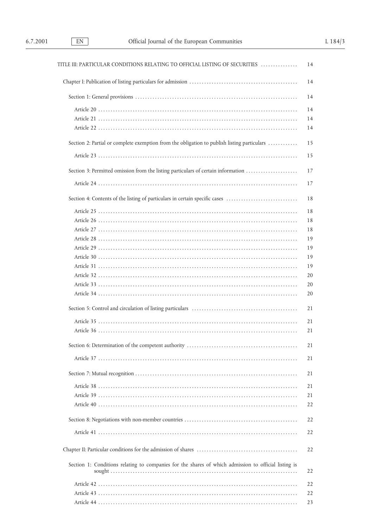| Section 2: Partial or complete exemption from the obligation to publish listing particulars<br>Section 3: Permitted omission from the listing particulars of certain information<br>Section 4: Contents of the listing of particulars in certain specific cases<br>Section 1: Conditions relating to companies for the shares of which admission to official listing is | TITLE III: PARTICULAR CONDITIONS RELATING TO OFFICIAL LISTING OF SECURITIES | 14             |
|-------------------------------------------------------------------------------------------------------------------------------------------------------------------------------------------------------------------------------------------------------------------------------------------------------------------------------------------------------------------------|-----------------------------------------------------------------------------|----------------|
|                                                                                                                                                                                                                                                                                                                                                                         |                                                                             | 14             |
|                                                                                                                                                                                                                                                                                                                                                                         |                                                                             | 14             |
|                                                                                                                                                                                                                                                                                                                                                                         |                                                                             | 14<br>14<br>14 |
|                                                                                                                                                                                                                                                                                                                                                                         |                                                                             | 15             |
|                                                                                                                                                                                                                                                                                                                                                                         |                                                                             | 15             |
|                                                                                                                                                                                                                                                                                                                                                                         |                                                                             | 17             |
|                                                                                                                                                                                                                                                                                                                                                                         |                                                                             | 17             |
|                                                                                                                                                                                                                                                                                                                                                                         |                                                                             | 18             |
|                                                                                                                                                                                                                                                                                                                                                                         |                                                                             | 18<br>18       |
|                                                                                                                                                                                                                                                                                                                                                                         |                                                                             | 18             |
|                                                                                                                                                                                                                                                                                                                                                                         |                                                                             | 19             |
|                                                                                                                                                                                                                                                                                                                                                                         |                                                                             | 19             |
|                                                                                                                                                                                                                                                                                                                                                                         |                                                                             | 19             |
|                                                                                                                                                                                                                                                                                                                                                                         |                                                                             | 19             |
|                                                                                                                                                                                                                                                                                                                                                                         |                                                                             | 20             |
|                                                                                                                                                                                                                                                                                                                                                                         |                                                                             | 20             |
|                                                                                                                                                                                                                                                                                                                                                                         |                                                                             | 20             |
|                                                                                                                                                                                                                                                                                                                                                                         |                                                                             | 21             |
|                                                                                                                                                                                                                                                                                                                                                                         |                                                                             | 21             |
|                                                                                                                                                                                                                                                                                                                                                                         |                                                                             | 21             |
|                                                                                                                                                                                                                                                                                                                                                                         |                                                                             | 21             |
|                                                                                                                                                                                                                                                                                                                                                                         |                                                                             | 21             |
|                                                                                                                                                                                                                                                                                                                                                                         |                                                                             | 21             |
|                                                                                                                                                                                                                                                                                                                                                                         |                                                                             | 21             |
|                                                                                                                                                                                                                                                                                                                                                                         |                                                                             | 21             |
|                                                                                                                                                                                                                                                                                                                                                                         |                                                                             | 22             |
|                                                                                                                                                                                                                                                                                                                                                                         |                                                                             | 22             |
|                                                                                                                                                                                                                                                                                                                                                                         |                                                                             | 22             |
|                                                                                                                                                                                                                                                                                                                                                                         |                                                                             | 22             |
|                                                                                                                                                                                                                                                                                                                                                                         |                                                                             | 22             |
|                                                                                                                                                                                                                                                                                                                                                                         |                                                                             | 22             |
|                                                                                                                                                                                                                                                                                                                                                                         |                                                                             | 22             |
|                                                                                                                                                                                                                                                                                                                                                                         |                                                                             | 23             |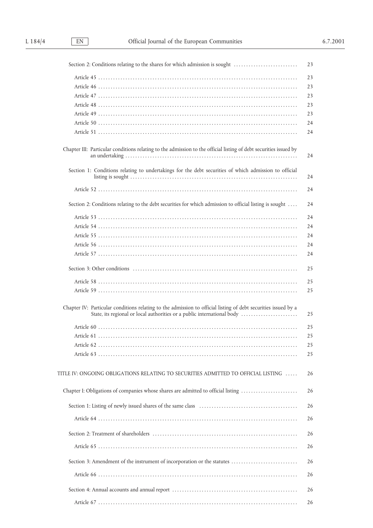| Section 2: Conditions relating to the shares for which admission is sought                                                                                                                | 23 |
|-------------------------------------------------------------------------------------------------------------------------------------------------------------------------------------------|----|
|                                                                                                                                                                                           | 23 |
|                                                                                                                                                                                           | 23 |
|                                                                                                                                                                                           | 23 |
|                                                                                                                                                                                           | 23 |
|                                                                                                                                                                                           | 23 |
|                                                                                                                                                                                           | 24 |
|                                                                                                                                                                                           | 24 |
| Chapter III: Particular conditions relating to the admission to the official listing of debt securities issued by                                                                         | 24 |
| Section 1: Conditions relating to undertakings for the debt securities of which admission to official                                                                                     | 24 |
|                                                                                                                                                                                           | 24 |
| Section 2: Conditions relating to the debt securities for which admission to official listing is sought                                                                                   | 24 |
|                                                                                                                                                                                           | 24 |
|                                                                                                                                                                                           | 24 |
|                                                                                                                                                                                           | 24 |
|                                                                                                                                                                                           | 24 |
|                                                                                                                                                                                           | 24 |
|                                                                                                                                                                                           | 25 |
|                                                                                                                                                                                           | 25 |
|                                                                                                                                                                                           | 25 |
| Chapter IV: Particular conditions relating to the admission to official listing of debt securities issued by a<br>State, its regional or local authorities or a public international body | 25 |
|                                                                                                                                                                                           | 25 |
|                                                                                                                                                                                           | 25 |
|                                                                                                                                                                                           | 25 |
|                                                                                                                                                                                           | 25 |
|                                                                                                                                                                                           |    |
| TITLE IV: ONGOING OBLIGATIONS RELATING TO SECURITIES ADMITTED TO OFFICIAL LISTING                                                                                                         | 26 |
| Chapter I: Obligations of companies whose shares are admitted to official listing                                                                                                         | 26 |
|                                                                                                                                                                                           | 26 |
|                                                                                                                                                                                           | 26 |
|                                                                                                                                                                                           | 26 |
|                                                                                                                                                                                           | 26 |
| Section 3: Amendment of the instrument of incorporation or the statutes                                                                                                                   | 26 |
|                                                                                                                                                                                           | 26 |
|                                                                                                                                                                                           | 26 |
|                                                                                                                                                                                           | 26 |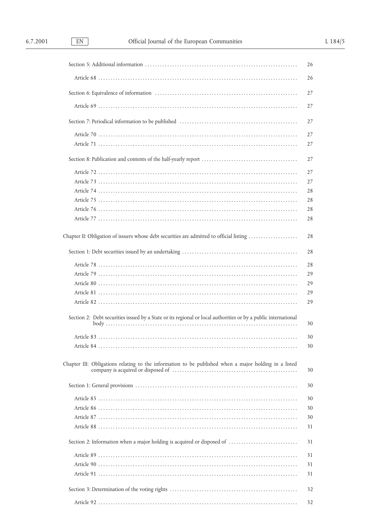|                                                                                                                | 26 |
|----------------------------------------------------------------------------------------------------------------|----|
|                                                                                                                | 26 |
|                                                                                                                | 27 |
|                                                                                                                | 27 |
|                                                                                                                | 27 |
|                                                                                                                | 27 |
|                                                                                                                | 27 |
|                                                                                                                |    |
|                                                                                                                | 27 |
|                                                                                                                | 27 |
|                                                                                                                | 27 |
|                                                                                                                | 28 |
|                                                                                                                | 28 |
|                                                                                                                | 28 |
|                                                                                                                | 28 |
| Chapter II: Obligation of issuers whose debt securities are admitted to official listing                       | 28 |
|                                                                                                                | 28 |
|                                                                                                                | 28 |
|                                                                                                                | 29 |
|                                                                                                                | 29 |
|                                                                                                                | 29 |
|                                                                                                                | 29 |
| Section 2: Debt securities issued by a State or its regional or local authorities or by a public international | 30 |
|                                                                                                                | 30 |
|                                                                                                                | 30 |
| Chapter III: Obligations relating to the information to be published when a major holding in a listed          | 30 |
|                                                                                                                | 30 |
|                                                                                                                | 30 |
|                                                                                                                | 30 |
|                                                                                                                | 30 |
|                                                                                                                | 31 |
| Section 2: Information when a major holding is acquired or disposed of                                         | 31 |
|                                                                                                                | 31 |
|                                                                                                                | 31 |
|                                                                                                                | 31 |
|                                                                                                                |    |
|                                                                                                                | 32 |
|                                                                                                                | 32 |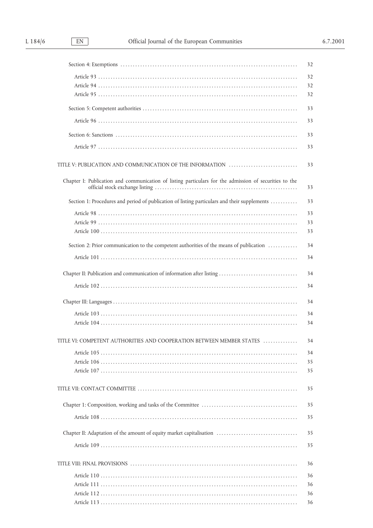|                                                                                                        | 32 |
|--------------------------------------------------------------------------------------------------------|----|
|                                                                                                        | 32 |
|                                                                                                        | 32 |
|                                                                                                        | 32 |
|                                                                                                        | 33 |
|                                                                                                        | 33 |
|                                                                                                        | 33 |
|                                                                                                        | 33 |
| TITLE V: PUBLICATION AND COMMUNICATION OF THE INFORMATION                                              | 33 |
| Chapter I: Publication and communication of listing particulars for the admission of securities to the | 33 |
| Section 1: Procedures and period of publication of listing particulars and their supplements           | 33 |
|                                                                                                        | 33 |
|                                                                                                        | 33 |
|                                                                                                        | 33 |
| Section 2: Prior communication to the competent authorities of the means of publication                | 34 |
|                                                                                                        | 34 |
|                                                                                                        |    |
| Chapter II: Publication and communication of information after listing                                 | 34 |
|                                                                                                        | 34 |
|                                                                                                        | 34 |
|                                                                                                        | 34 |
|                                                                                                        | 34 |
| TITLE VI: COMPETENT AUTHORITIES AND COOPERATION BETWEEN MEMBER STATES                                  | 34 |
|                                                                                                        | 34 |
|                                                                                                        | 35 |
|                                                                                                        | 35 |
|                                                                                                        | 35 |
|                                                                                                        | 35 |
|                                                                                                        | 35 |
| Chapter II: Adaptation of the amount of equity market capitalisation                                   | 35 |
|                                                                                                        | 35 |
|                                                                                                        | 36 |
|                                                                                                        | 36 |
|                                                                                                        | 36 |
|                                                                                                        | 36 |
|                                                                                                        | 36 |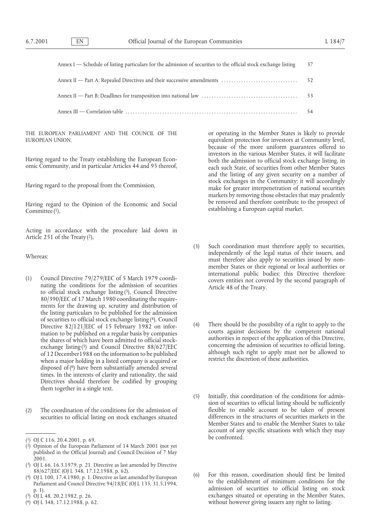| Annex I — Schedule of listing particulars for the admission of securities to the official stock exchange listing 37 |  |
|---------------------------------------------------------------------------------------------------------------------|--|
|                                                                                                                     |  |
|                                                                                                                     |  |
|                                                                                                                     |  |

EUROPEAN UNION, equivalent protection for investors at Community level,

Having regard to the Opinion of the Economic and Social be removed and therefore contribute to the prospect of establishing a European capital market.

Acting in accordance with the procedure laid down in Article 251 of the Treaty $(2)$ ,

- 80/390/EEC of 17 March 1980 coordinating the requirements for the drawing up, scrutiny and distribution of the listing particulars to be published for the admission of securities to official stock exchange listing(4), Council when a major holding in a listed company is acquired or disposed of <sup>(6</sup>) have been substantially amended several times. In the interests of clarity and rationality, the said Directives should therefore be codified by grouping them together in a single text.
- securities to official listing on stock exchanges situated

THE EUROPEAN PARLIAMENT AND THE COUNCIL OF THE or operating in the Member States is likely to provide because of the more uniform guarantees offered to investors in the various Member States, it will facilitate Having regard to the Treaty establishing the European Econboth the admission to official stock exchange listing, in omic Community, and in particular Articles 44 and 95 thereof, each such State, of securities from other Me and the listing of any given security on a number of stock exchanges in the Community; it will accordingly Having regard to the proposal from the Commission, make for greater interpenetration of national securities markets by removing those obstacles that may prudently

- (3) Such coordination must therefore apply to securities, independently of the legal status of their issuers, and must therefore also apply to securities issued by nonmember States or their regional or local authorities or (1) Council Directive 79/279/EEC of 5 March 1979 coordinational public bodies; this Directive therefore<br>nating the conditions for the admission of securities<br>to official stock exchange listing (3), Council Directive<br>Direct
	- Directive 82/121/EEC of 15 February 1982 on infor-<br>mation to be published on a regular basis by companies<br>courts against decisions by the competent national mation to be published on a regular basis by companies courts against decisions by the competent national the shares of which have been admitted to official stock-<br>authorities in respect of the application of this Directiv authorities in respect of the application of this Directive,<br>exchange listing (5) and Council Directive 88/627/EEC concerning the admission of securities to official listing, concerning the admission of 12 December 1988 on the information to be published<br>when a major holding in a listed company is acquired or a settic the discretion of these authorities.
- (5) Initially, this coordination of the conditions for admission of securities to official listing should be sufficiently (2) The coordination of the conditions for the admission of flexible to enable account to be taken of present securities to official listing on stock exchanges situated differences in the structures of securities markets i Member States and to enable the Member States to take account of any specific situations with which they may
- $88/627/EEC$  (OJ L 348, 17.12.1988, p. 62).<br>
(4) OJ L 100, 17.4.1980, p. 1. Directive as last amended by European Parliament and Council Directive 94/18/EC (OJ L 135, 31.5.1994, to the establishment of minimum conditions f p. 1). admission of securities to official listing on stock (5) OJ L 48, 20.2.1982, p. 26. exchanges situated or operating in the Member States, (6) OJ L 348, 17.12.1988, p. 62. exchanges situated or operating in the Member States,  $(6)$  OJ L 348, 17.12.1988, p. 62. without however giving issuers any right to listing.

be confronted. (1) OJ C 116, 20.4.2001, p. 69.

<sup>(2)</sup> Opinion of the European Parliament of 14 March 2001 (not yet published in the Official Journal) and Council Decision of 7 May 2001.

<sup>(3)</sup> OJ L 66, 16.3.1979, p. 21. Directive as last amended by Directive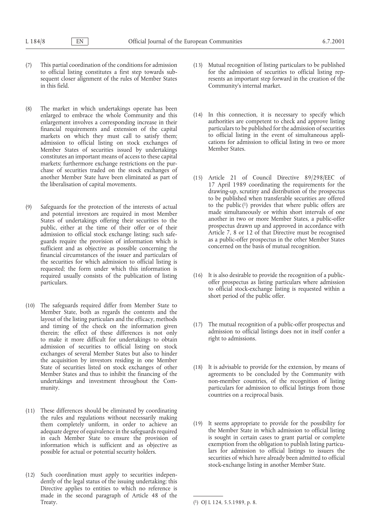- (7) This partial coordination of the conditions for admission (13) Mutual recognition of listing particulars to be published in this field. Community's internal market.
- (8) The market in which undertakings operate has been admission to official listing on stock exchanges of cations for admission to official listing on stock exchanges of cations for administrations Member States of securities issued by undertakings constitutes an important means of access to these capital markets; furthermore exchange restrictions on the purchase of securities traded on the stock exchanges of another Member State have been eliminated as part of (15) Article 21 of Council Directive 89/298/EEC of
- (9) Safeguards for the protection of the interests of actual and potential investors are required in most Member<br>and potential investors are required in most Member<br>States of undertakings offering their securities to the<br>p financial circumstances of the issuer and particulars of the securities for which admission to official listing is requested; the form under which this information is
- (10) The safeguards required differ from Member State to Member State, both as regards the contents and the layout of the listing particulars and the efficacy, methods therein; the effect of these differences is not only admission to official<br>to make it more difficult for undertakings to obtain right to admissions. admission of securities to official listing on stock exchanges of several Member States but also to hinder the acquisition by investors residing in one Member State of securities listed on stock exchanges of other (18) It is advisable to provide for the extension, by means of
- (11) These differences should be eliminated by coordinating the rules and regulations without necessarily making in each Member State to ensure the provision of
- (12) Such coordination must apply to securities independently of the legal status of the issuing undertaking; this Directive applies to entities to which no reference is made in the second paragraph of Article 48 of the Treaty. (1) OJ L 124, 5.5.1989, p. 8.
- to official listing constitutes a first step towards sub-<br>for the admission of securities to official listing repsequent closer alignment of the rules of Member States resents an important step forward in the creation of the
- enlarged to embrace the whole Community and this (14) In this connection, it is necessary to specify which enlargement involves a corresponding increase in their authorities are competent to check and approve listing enlargement involves a corresponding increase in their authorities are competent to check and approve listing<br>financial requirements and extension of the capital particulars to be published for the admission of securities financial requirements and extension of the capital particulars to be published for the admission of securities markets on which they must call to satisfy them: to official listing in the event of simultaneous applimarkets on which they must call to satisfy them; to official listing in the event of simultaneous appli-<br>admission to official listing in two or more
- the liberalisation of capital movements. 17 April 1989 coordinating the requirements for the drawing-up, scrutiny and distribution of the prospectus to be published when transferable securities are offered
- required usually consists of the publication of listing (16) It is also desirable to provide the recognition of a publicparticulars. The prospectus as listing particulars where admission offer prospectus as listing particulars where admission to official stock-exchange listing is requested within a short period of the public offer.
	- (17) The mutual recognition of a public-offer prospectus and admission to official listings does not in itself confer a
- Member States and thus to inhibit the financing of the agreements to be concluded by the Community with undertakings and investment throughout the Com- non-member countries, of the recognition of listing munity. countries on a reciprocal basis.
- them completely uniform, in order to achieve an (19) It seems appropriate to provide for the possibility for adequate degree of equivalence in the safeguards required the Member State in which admission to official listing<br>in each Member State to ensure the provision of is sought in certain cases to grant partial or complete information which is sufficient and as objective as exemption from the obligation to publish listing particupossible for actual or potential security holders. lars for admission to official listings to issuers the securities of which have already been admitted to official stock-exchange listing in another Member State.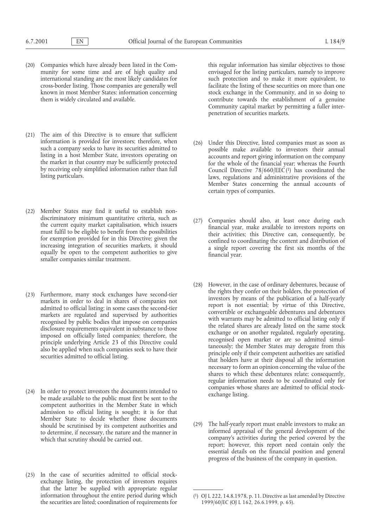- (20) Companies which have already been listed in the Com- this regular information has similar objectives to those
- (21) The aim of this Directive is to ensure that sufficient
- (22) Member States may find it useful to establish nondiscriminatory minimum quantitative criteria, such as<br>the current equity market capitalisation, which issuers<br>must fulfil to be eligible to benefit from the possibilities<br>for exemption provided for in this Directive; given
- 
- competent authorities in the Member State in which admission to official listing is sought; it is for that Member State to decide whether those documents
- (25) In the case of securities admitted to official stockexchange listing, the protection of investors requires that the latter be supplied with appropriate regular the securities are listed; coordination of requirements for

munity for some time and are of high quality and envisaged for the listing particulars, namely to improve international standing are the most likely candidates for such protection and to make it more equivalent, to cross-border listing. Those companies are generally well facilitate the listing of these securities on more than one known in most Member States: information concerning stock exchange in the Community, and in so doing to them is widely circulated and available. contribute towards the establishment of a genuine Community capital market by permitting a fuller interpenetration of securities markets.

- information is provided for investors; therefore, when<br>such a company seeks to have its securities admitted to<br>listing in a host Member State, investors operating on<br>the market in that country may be sufficiently protected Member States concerning the annual accounts of certain types of companies.
	-
- (28) However, in the case of ordinary debentures, because of (23) Furthermore, many stock exchanges have second-tier<br>
markets in order to deal in shares of companies not<br>
investors by means of the publication of a half-yearly<br>
admitted to official listing; in some cases the second-t necessary to form an opinion concerning the value of the shares to which these debentures relate; consequently, regular information needs to be coordinated only for companies whose shares are admitted to official stock- (24) In order to protect investors the documents intended to exchange listing. be made available to the public must first be sent to the
	- should be scrutinised by its competent authorities and<br>to determine, if necessary, the nature and the manner in the manner in the peneral development of the which that scrutiny should be carried out. company's activities during the period covered by the report; however, this report need contain only the essential details on the financial position and general progress of the business of the company in question.

information throughout the entire period during which (1) OJ L 222, 14.8.1978, p. 11. Directive as last amended by Directive the securities are listed; coordination of requirements for 1999/60/EC (OJ L 162, 26.6.1999, p. 6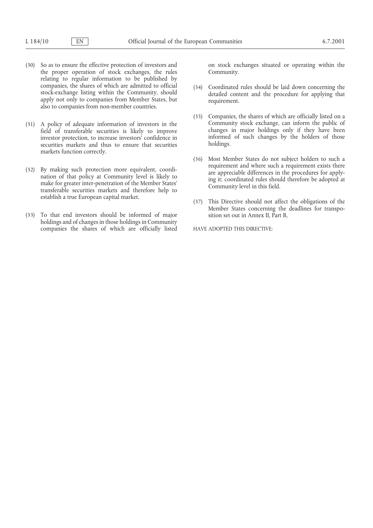- (30) So as to ensure the effective protection of investors and on stock exchanges situated or operating within the the proper operation of stock exchanges, the rules Community. relating to regular information to be published by companies, the shares of which are admitted to official companies, the shares of which are admitted to official (34) Coordinated rules should be laid down concerning the stock-exchange listing within the Community, should apply not only to companies from Member States, but also
- investor protection, to increase investors' confidence in informed securities markets and thus to ensure that securities holdings. securities markets and thus to ensure that securities markets function correctly.
- (32) By making such protection more equivalent, coordi-<br>nation of that policy at Community level is likely to<br>make for greater inter-penetration of the Member States'<br>transferable securities markets and therefore help to
- (33) To that end investors should be informed of major sition set out in Annex II, Part B, holdings and of changes in those holdings in Community companies the shares of which are officially listed HAVE ADOPTED THIS DIRECTIVE:

- 
- (35) Companies, the shares of which are officially listed on a (31) A policy of adequate information of investors in the Community stock exchange, can inform the public of field of transferable securities is likely to improve changes in major holdings only if they have been changes in major holdings only if they have been informed of such changes by the holders of those
	- (36) Most Member States do not subject holders to such a
	- establish a true European capital market. (37) This Directive should not affect the obligations of the Member States concerning the deadlines for transpo-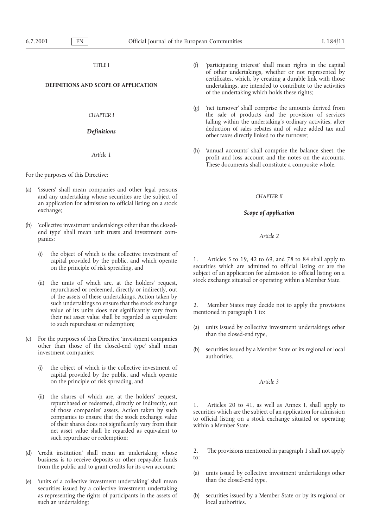For the purposes of this Directive:

- (a) 'issuers' shall mean companies and other legal persons and any undertaking whose securities are the subject of *CHAPTER II* an application for admission to official listing on a stock exchange; *Scope of application*
- (b) 'collective investment undertakings other than the closedend type' shall mean unit trusts and investment com- *Article 2* panies:
	- (i) the object of which is the collective investment of
	- repurchased or redeemed, directly or indirectly, out of the assets of these undertakings. Action taken by such undertakings to ensure that the stock exchange value of its units does not significantly vary from their net asset value shall be regarded as equivalent to such repurchase or redemption; (a) units issued by collective investment undertakings other
- than the closed-end type, (c) For the purposes of this Directive 'investment companies other than those of the closed-end type' shall mean (b) securities issued by a Member State or its regional or local authorities.
	- the object of which is the collective investment of capital provided by the public, and which operate on the principle of risk spreading, and *Article 3*
	- (ii) the shares of which are, at the holders' request, repurchased or redeemed, directly or indirectly, out net asset value shall be regarded as equivalent to such repurchase or redemption;
- from the public and to grant credits for its own account;
- than the closed-end type, (e) 'units of a collective investment undertaking' shall mean securities issued by a collective investment undertaking as representing the rights of participants in the assets of (b) securities issued by a Member State or by its regional or such an undertaking; local authorities.
- TITLE I (f) 'participating interest' shall mean rights in the capital of other undertakings, whether or not represented by certificates, which, by creating a durable link with those **DEFINITIONS AND SCOPE OF APPLICATION** undertakings, are intended to contribute to the activities of the undertaking which holds these rights;
	- (g) 'net turnover' shall comprise the amounts derived from *CHAPTER I* the sale of products and the provision of services falling within the undertaking's ordinary activities, after **Definitions** deduction of sales rebates and of value added tax and **Definitions** other taxes directly linked to the turnover;
		- (h) 'annual accounts' shall comprise the balance sheet, the *profit and loss account and the notes on the accounts*. These documents shall constitute a composite whole.

capital provided by the public, and which operate 1. Articles 5 to 19, 42 to 69, and 78 to 84 shall apply to on the principle of risk spreading, and securities which are admitted to official listing or are the subject of an application for admission to official listing on a stock exchange situated or operating within a Member State. (ii) the units of which are, at the holders' request,

- 
- 

repurchased or redeemed, directly or indirectly, out<br>of those companies' assets. Action taken by such<br>companies to ensure that the stock exchange value<br>of their shares does not significantly vary from their<br>of their shares

(d) 'credit institution' shall mean an undertaking whose 2. The provisions mentioned in paragraph 1 shall not apply business is to receive deposits or other repayable funds to:

- (a) units issued by collective investment undertakings other
-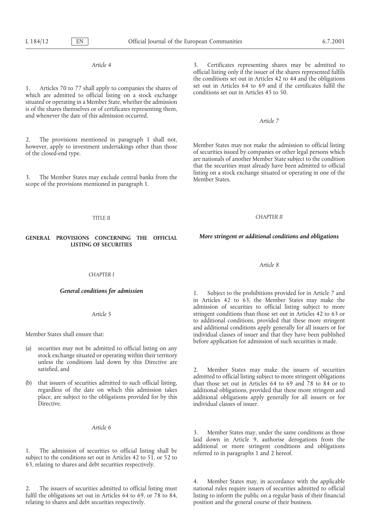1. Articles 70 to 77 shall apply to companies the shares of set out in Articles 64 to 69 and if the 1. which are admitted to official listing on a stock exchange conditions set out in Articles 45 to 50. situated or operating in a Member State, whether the admission is of the shares themselves or of certificates representing them, and whenever the date of this admission occurred.

2. The provisions mentioned in paragraph 1 shall not, however, apply to investment undertakings other than those Member States may not make the admission to official listing of the closed-end type.

## **LISTING OF SECURITIES**

*CHAPTER I*

- (a) securities may not be admitted to official listing on any stock exchange situated or operating within their territory unless the conditions laid down by this Directive are
- 

### *Article 6*

63, relating to shares and debt securities respectively.

fulfil the obligations set out in Articles 64 to 69, or 78 to 84, listing to inform the public on a regular basis of their financial relating to shares and debt securities respectively. position and the general course of their business.

*Article 4* 3. Certificates representing shares may be admitted to official listing only if the issuer of the shares represented fulfils the conditions set out in Articles 42 to 44 and the obligations<br>set out in Articles 64 to 69 and if the certificates fulfil the

*Article 7*

of securities issued by companies or other legal persons which are nationals of another Member State subject to the condition that the securities must already have been admitted to official 3. The Member States may exclude central banks from the listing on a stock exchange situated or operating in one of the scope of the provisions mentioned in paragraph 1.

### TITLE II *CHAPTER II*

**GENERAL PROVISIONS CONCERNING THE OFFICIAL** *More stringent or additional conditions and obligations*

### *Article 8*

**General conditions for admission** 1. Subject to the prohibitions provided for in Article 7 and in Articles 42 to 63, the Member States may make the admission of securities to official listing subject to more *Article 5* stringent conditions than those set out in Articles 42 to 63 or to additional conditions, provided that these more stringent and additional conditions apply generally for all issuers or for Member States shall ensure that: individual classes of issuer and that they have been published before application for admission of such securities is made.

2. Member States may make the issuers of securities admitted to official listing subject to more stringent obligations (b) that issuers of securities admitted to such official listing, than those set out in Articles 64 to 69 and 78 to 84 or to regardless of the date on which this admission takes additional obligations, provided that these regardless of the date on which this admission takes additional obligations, provided that these more stringent and place, are subject to the obligations provided for by this additional obligations apply generally for all place, are subject to the obligations provided for by this additional obligations apply generally for all issuers or for individual classes of issuer.

3. Member States may, under the same conditions as those laid down in Article 9, authorise derogations from the 1. The admission of securities to official listing shall be additional or more stringent conditions and obligations subject to the conditions set out in Articles 42 to 51, or 52 to

Member States may, in accordance with the applicable 2. The issuers of securities admitted to official listing must national rules require issuers of securities admitted to official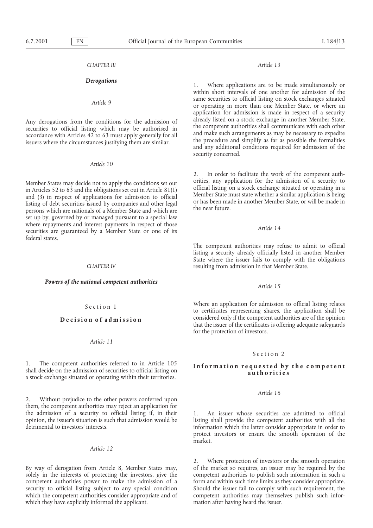### *CHAPTER III Article 13*

### *Article 10*

in Articles 52 to 63 and the obligations set out in Article 81(1) official listing on a stock exchange situated or operating in a<br>and (3) in respect of applications for admission to official Member State must state whether set up by, governed by or managed pursuant to a special law where repayments and interest payments in respect of those where repayments and interest payments in respect of those *Article 14* securities are guaranteed by a Member State or one of its federal states.

### *Powers of the national competent authorities Article 15*

*Article 11*

1. The competent authorities referred to in Article 105<br>
shall decide on the admission of securities to official listing on<br>
a stock exchange situated or operating within their territories.<br> **authorities** 

2. Without prejudice to the other powers conferred upon them, the competent authorities may reject an application for the admission of a security to official listing if, in their 1. An issuer whose securities are admitted to official

### *Article 12*

which they have explicitly informed the applicant.

**Derogations** 1. Where applications are to be made simultaneously or within short intervals of one another for admission of the same securities to official listing on stock exchanges situated same securities to official listing on stock exchanges situated *Article 9* or operating in more than one Member State, or where an application for admission is made in respect of a security already listed on a stock exchange in another Member State, Any derogations from the conditions for the admission of already listed on a stock exchange in another Member State,<br>securities to official listing which may be authorised in and make such arrangements as may be necessary security concerned.

2. In order to facilitate the work of the competent auth-Member States may decide not to apply the conditions set out orities, any application for the admission of a security to in Articles 52 to 63 and the obligations set out in Article 81(1) official listing on a stock exchang

The competent authorities may refuse to admit to official listing a security already officially listed in another Member State where the issuer fails to comply with the obligations *CHAPTER IV* resulting from admission in that Member State.

Section 1 Where an application for admission to official listing relates to certificates representing shares, the application shall be **Decision of admission** considered only if the competent authorities are of the opinion that the issuer of the certificates is offering adequate safeguards for the protection of investors.

### Section 2

### *Article 16*

opinion, the issuer's situation is such that admission would be listing shall provide the competent authorities with all the detrimental to investors' interests. information which the latter consider appropriate in order to protect investors or ensure the smooth operation of the market.

2. Where protection of investors or the smooth operation By way of derogation from Article 8, Member States may, of the market so requires, an issuer may be required by the solely in the interests of protecting the investors, give the competent authorities to publish such information in such a competent authorities power to make the admission of a form and within such time limits as they consider appropriate.<br>
security to official listing subject to any special condition Should the issuer fail to comply with suc Should the issuer fail to comply with such requirement, the which the competent authorities consider appropriate and of competent authorities may themselves publish such infor-<br>which they have explicitly informed the applicant. The mation after having heard the issuer.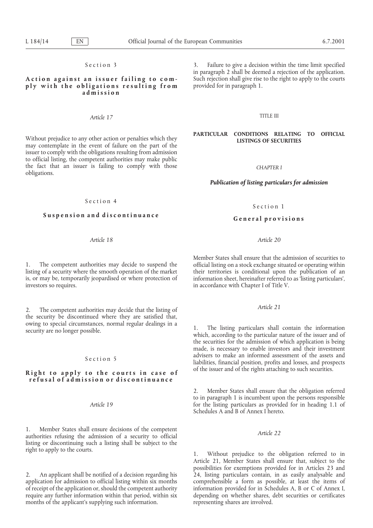### ply with the obligations resulting from provided for in paragraph 1. **admission**

### *Article 17* TITLE III

issuer to comply with the obligations resulting from admission to official listing, the competent authorities may make public the fact that an issuer is failing to comply with those *CHAPTER I* obligations.

### Section 4

### **Suspension and discontinuance General provisions**

### *Article 18 Article 20*

listing of a security where the smooth operation of the market their territories is conditional upon the publication of an is, or may be, temporarily jeopardised or where protection of information sheet, hereinafter referr is, or may be, temporarily jeopardised or where protection of information sheet, hereinafter referred to as 'listing particulars', investors so requires.  $\frac{1}{2}$  in accordance with Chapter I of Title V.

*Article 21* 2. The competent authorities may decide that the listing of the security be discontinued where they are satisfied that,

## **refusal of admission or discontinuance**

1. Member States shall ensure decisions of the competent *Article 22* authorities refusing the admission of a security to official listing or discontinuing such a listing shall be subject to the right to apply to the courts. 1. Without prejudice to the obligation referred to in

application for admission to official listing within six months require any further information within that period, within six months of the applicant's supplying such information. The representing shares are involved.

S e c t i o n 3 3. Failure to give a decision within the time limit specified in paragraph 2 shall be deemed a rejection of the application. **Action against an issuer failing to com-** Such rejection shall give rise to the right to apply to the courts

## Without prejudice to any other action or penalties which they<br>
may contemplate in the event of failure on the part of the<br> **PARTICULAR CONDITIONS RELATING TO OFFICIAL**<br> **LISTINGS OF SECURITIES**

*Publication of listing particulars for admission*

### Section 1

Member States shall ensure that the admission of securities to 1. The competent authorities may decide to suspend the official listing on a stock exchange situated or operating within listing of a security where the smooth operation of the market their territories is conditional upon in accordance with Chapter I of Title V.

owing to special circumstances, normal regular dealings in a 1. The listing particulars shall contain the information security are no longer possible. The issuer and of which, according to the particular nature of the issu the securities for the admission of which application is being made, is necessary to enable investors and their investment Section 5 advisers to make an informed assessment of the assets and liabilities, financial position, profits and losses, and prospects **Right to apply to the courts in case of** of the issuer and of the rights attaching to such securities.

> 2. Member States shall ensure that the obligation referred to in paragraph 1 is incumbent upon the persons responsible *Article 19 Article 19 CO <i>CO CO <i>CO CO CO <i>CO CO CO <i>CO CO CO CO CO CO CO CO CO CO CO CO CO CO CO CO CO CO CO* Schedules A and B of Annex I hereto.

Article 21, Member States shall ensure that, subject to the possibilities for exemptions provided for in Articles 23 and 2. An applicant shall be notified of a decision regarding his 24, listing particulars contain, in as easily analysable and application for admission to official listing within six months comprehensible a form as possible, of receipt of the application or, should the competent authority information provided for in Schedules A, B or C of Annex I,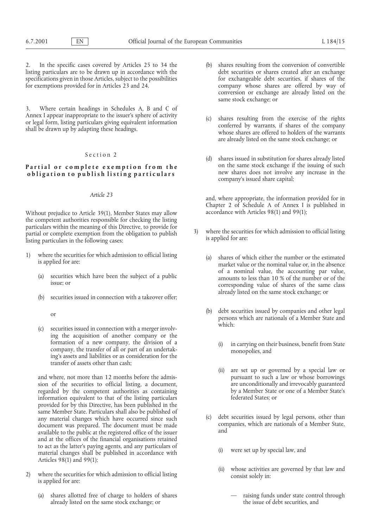2. In the specific cases covered by Articles 25 to 34 the (b) shares resulting from the conversion of convertible listing particulars are to be drawn up in accordance with the debt securities or shares created after an exchange specifications given in those Articles, subject to the possibilities for exchangeable debt securities, if shares of the for exemptions provided for in Articles 23 and 24. company whose shares are offered by way of

3. Where certain headings in Schedules A, B and C of

Without prejudice to Article 39(1), Member States may allow accordance with Articles 98(1) and 99(1); the competent authorities responsible for checking the listing particulars within the meaning of this Directive, to provide for<br>partial or complete exemption from the obligation to publish<br>is applied for are:<br>is applied for are:<br>is applied for are:

- -
	-

which: (c) securities issued in connection with a merger involving the acquisition of another company or the formation of a new company, the division of a<br>
company, the transfer of all or part of an undertak-<br>
ing's assets and liabilities or as consideration for the<br>
entry and the monopolies, and<br>
in carrying on their business, b transfer of assets other than cash;

sion of the securities to official listing, a document, and the unconditionally and irrevocably guaranteed regarded by the competent authorities as containing the by a Member State or one of a Member State's regarded by the competent authorities as containing by a Member State information equivalent to that of the listing particulars federated States; or information equivalent to that of the listing particulars provided for by this Directive, has been published in the same Member State. Particulars shall also be published of any material changes which have occurred since such (c) debt securities issued by legal persons, other than document was prepared. The document must be made document was prepared. The document must be made com<br>available to the public at the registered office of the issuer and and at the offices of the financial organisations retained to act as the latter's paying agents, and any particulars of (i) were set up by special law, and material changes shall be published in accordance with Articles 98(1) and 99(1);

- 2) where the securities for which admission to official listing (ii) whose activities are governed by that law and is applied for are:  $\frac{1}{2}$  is applied for are:
	- (a) shares allotted free of charge to holders of shares  $-$  raising funds under state control through already listed on the same stock exchange; or the issue of debt securities, and
- conversion or exchange are already listed on the same stock exchange; or
- Afflick I appear inappropriate to the issuer's spiret of activity<br>or legal form, listing particulars giving equivalent information<br>shall be drawn up by adapting these headings.<br>whose shares are offered to holders of the wa are already listed on the same stock exchange; or
- Section 2 (d) shares issued in substitution for shares already listed **Partial or complete exemption from the** on the same stock exchange if the issuing of such **obligation to publish listing particulars** company's issued share capital;

*Article 23* and, where appropriate, the information provided for in Chapter 2 of Schedule A of Annex I is published in

- 
- 1) where the securities for which admission to official listing (a) shares of which either the number or the estimated market value or the nominal value or, in the absence of a nominal value, the accounting par value, (a) securities which have been the subject of a public amounts to less than  $10\%$  of the number or of the issue; or corresponding value of shares of the same class already listed on the same stock exchange; or (b) securities issued in connection with a takeover offer;
	- (b) debt securities issued by companies and other legal persons which are nationals of a Member State and
		-
	- (ii) are set up or governed by a special law or and where, not more than 12 months before the admis- pursuant to such a law or whose borrowings
		- -
			- -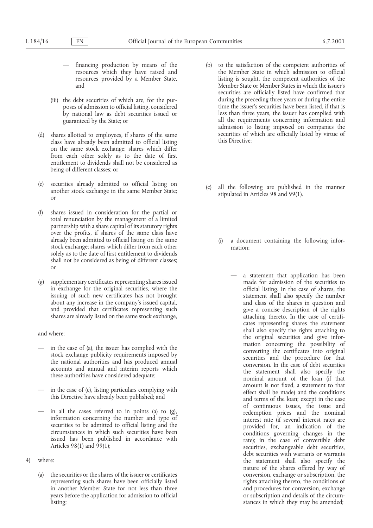- financing production by means of the (b) to the satisfaction of the competent authorities of
- 
- (d) shares allotted to employees, if shares of the same securities of v<br>class have already been admitted to official listing this Directive; on the same stock exchange; shares which differ from each other solely as to the date of first entitlement to dividends shall not be considered as being of different classes; or
- (e) securities already admitted to official listing on another stock exchange in the same Member State; or  $\frac{1}{\pi}$  or  $\frac{1}{\pi}$  and 99(1).
- (f) shares issued in consideration for the partial or total renunciation by the management of a limited partnership with a share capital of its statutory rights over the profits, if shares of the same class have already been admitted to official listing on the same (i) a document containing the following infor-<br>stock exchange; shares which differ from each other mation: solely as to the date of first entitlement to dividends shall not be considered as being of different classes; or
- $(g)$  supplementary certificates representing shares issued in exchange for the original securities, where the official listing. In the case of shares, the issuing of such new certificates has not brought statement shall also specify the number about any increase in the company's issued capital, and provided that certificates representing such give a concise description of the rights shares are already listed on the same stock exchange, attaching thereto. In the case of certifi-

- 
- 
- in all the cases referred to in points (a) to (g),<br>
information concerning the number and type of<br>
securities to be admitted to official listing and the<br>
circumstances in which such securities have been<br>
issued has been
- - (a) the securities or the shares of the issuer or certificates conversion, exchange or subscription, the representing such shares have been officially listed rights attaching thereto, the conditions of in another Member State for not less than three and procedures for conversion, exchange years before the application for admission to official or subscription and details of the circumlisting; stances in which they may be amended;
- resources which they have raised and the Member State in which admission to official resources provided by a Member State, listing is sought, the competent authorities of the and Member State or Member States in which the issuer's securities are officially listed have confirmed that (iii) the debt securities of which are, for the pur- during the preceding three years or during the entire poses of admission to official listing, considered time the issuer's securities have been listed, if that is by national law as debt securities issued or less than three years, the issuer has complied with guaranteed by the State; or all the requirements concerning information and admission to listing imposed on companies the securities of which are officially listed by virtue of
	- -
- a statement that application has been<br>made for admission of the securities to statement shall also specify the number and class of the shares in question and cates representing shares the statement shall also specify the rights attaching to and where: the original securities and give inforin the case of (a), the issuer has complied with the<br>stock exchange publicity requirements imposed by<br>the national authorities and has produced annual<br>accounts and annual and interim reports which<br>these authorities have co in the case of (e), listing particulars complying with<br>this Directive have already been published; and<br>this Directive have already been published; and<br>and terms of the loan; except in the case debt securities with warrants or warrants 4) where: the statement shall also specify the nature of the shares offered by way of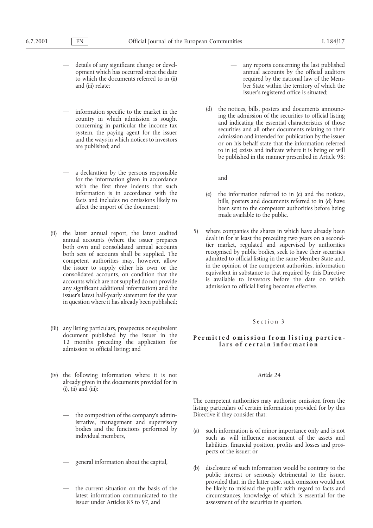- details of any significant change or devel-<br>  $\qquad$  any reports concerning the last published
- 
- a declaration by the persons responsible for the information given in accordance and with the first three indents that such
- issuer's latest half-yearly statement for the year in question where it has already been published;
- (iii) any listing particulars, prospectus or equivalent document published by the issuer in the **Permitted omission from listing particu-** 12 months preceding the application for **lars of certain information**
- (iv) the following information where it is not *Article 24* already given in the documents provided for in  $(i)$ ,  $(ii)$  and  $(iii)$ :
	- the composition of the company's admin-<br>Directive if they consider that: istrative, management and supervisory
	-
	-
- opment which has occurred since the date annual accounts by the official auditors to which the documents referred to in (ii) required by the national law of the Memand (iii) relate; ber State within the territory of which the issuer's registered office is situated;
- information specific to the market in the country in which admission is sought<br>concerning in particular the income tax<br>system, the paying agent for the issuer<br>and the ways in which notices to investors<br>are published; and be published in the manner prescribed in Article 98;

- information is in accordance with the (e) the information referred to in (c) and the notices, facts and includes no omissions likely to bills, posters and documents referred to in (d) have affect the import of the document made available to the public.
- (ii) the latest annual report, the latest audited annual scounts (where the issuer prepares annual accounts (where the issuer prepares both own and consolidated annual accounts both sets of accounts chall be sumplied. The both sets of accounts shall be supplied. The competent authorities may, however, allow the issuer to supply either his own or the in the opinion of the competent authorities, information that in the opinion of the competen

### Section 3

The competent authorities may authorise omission from the listing particulars of certain information provided for by this

- bodies and the functions performed by (a) such information is of minor importance only and is not individual members, such as will influence assessment of the assets and liabilities, financial position, profits and losses and prospects of the issuer; or
- general information about the capital, (b) disclosure of such information would be contrary to the public interest or seriously detrimental to the issuer, provided that, in the latter case, such omission would not the current situation on the basis of the be likely to mislead the public with regard to facts and latest information communicated to the circumstances, knowledge of which is essential for the issuer under Articles 85 to 97, and assessment of the securities in question.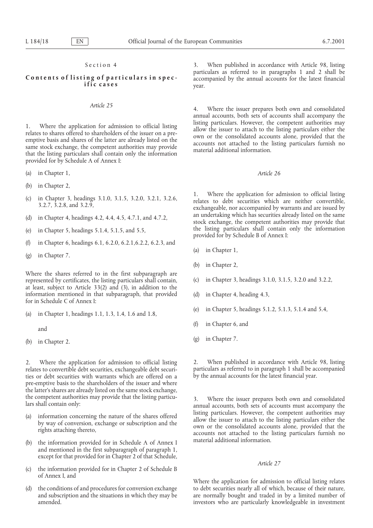provided for by Schedule A of Annex I:

- (a) in Chapter 1, *Article 26*
- (b) in Chapter 2,
- 
- 
- 
- (f) in Chapter 6, headings 6.1, 6.2.0, 6.2.1,6.2.2, 6.2.3, and
- 

Where the shares referred to in the first subparagraph are represented by certificates, the listing particulars shall contain, (c) in Chapter 3, headings 3.1.0, 3.1.5, 3.2.0 and 3.2.2, at least, subject to Article 33(2) and (3), in addition to the information mentioned in that subparagraph, that provided (d) in Chapter 4, heading 4.3, for in Schedule C of Annex I:

relates to convertible debt securities, exchangeable debt securi-<br>ties or debt securities with warrants which are offered on a by the annual accounts for the latest financial year. ties or debt securities with warrants which are offered on a pre-emptive basis to the shareholders of the issuer and where the latter's shares are already listed on the same stock exchange, the competent authorities may provide that the listing particu-<br>lars shall contain only:<br>annual accounts, both sets of accounts must accompany the

- 
- (b) the information provided for in Schedule A of Annex I material additional information. and mentioned in the first subparagraph of paragraph 1, except for that provided for in Chapter 2 of that Schedule,
- (c) the information provided for in Chapter 2 of Schedule B of Annex I, and
- 

S e c t i o n 4 3. When published in accordance with Article 98, listing **Contents of listing of particulars in spec-** particulars as referred to in paragraphs 1 and 2 shall be accompanied by the annual accounts for the latest financial *ific cases year*.

*Article 25* 4. Where the issuer prepares both own and consolidated annual accounts, both sets of accounts shall accompany the 1. Where the application for admission to official listing listing particulars. However, the competent authorities may relates to shares offered to shareholders of the issuer on a pre-<br>emptive basis and shares of the latte

(c) in Chapter 3, headings 3.1.0, 3.1.5, 3.2.0, 3.2.1, 3.2.6,<br>3.2.7, 3.2.8, and 3.2.9,<br>3.2.7, 3.2.8, and 3.2.9,<br>by exchangeable, nor accompanied by warrants and are issued by (d) in Chapter 4, headings 4.2, 4.4, 4.5, 4.7.1, and 4.7.2, and an undertaking which has securities already listed on the same stock exchange, the competent authorities may provide that the listing particulars shall contain only the information (e) in Chapter 5, headings 5.1.4, 5.1.5, and 5.5, provided for by Schedule B of Annex I:

- (a) in Chapter 1, (g) in Chapter 7.
	- (b) in Chapter 2,
	-
	-
- (e) in Chapter 5, headings 5.1.2, 5.1.3, 5.1.4 and 5.4, (a) in Chapter 1, headings 1.1, 1.3, 1.4, 1.6 and 1.8,
	- (f) in Chapter 6, and and
- (b) in Chapter 2. (g) in Chapter 7.

2. Where the application for admission to official listing 2. When published in accordance with Article 98, listing

(a) information concerning the nature of the shares offered<br>by way of conversion, exchange or subscription and the<br>rights attaching thereto,<br>rights attaching thereto,<br>accounts not attached to the listing particulars furnis

### *Article 27*

Where the application for admission to official listing relates (d) the conditions of and procedures for conversion exchange to debt securities nearly all of which, because of their nature, and subscription and the situations in which they may be are normally bought and traded in by a limited number of amended. investors who are particularly knowledgeable in investment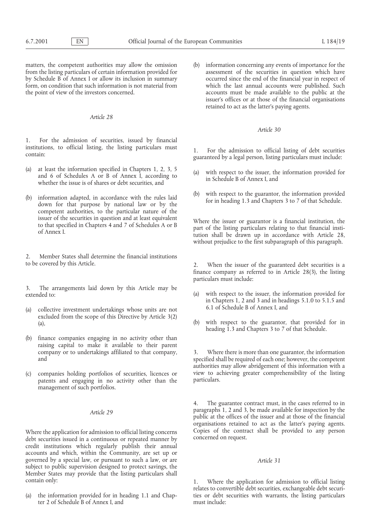matters, the competent authorities may allow the omission (b) information concerning any events of importance for the from the listing particulars of certain information provided for assessment of the securities in question which have form, on condition that such information is not material from the point of view of the investors concerned.

### *Article 28*

1. For the admission of securities, issued by financial

- (a) at least the information specified in Chapters 1, 2, 3, 5<br>and 6 of Schedules A or B of Annex I, according to<br>whether the issue is of shares or debt securities, and<br>in Schedule B of Annex I, and
- (b) with respect to the guarantor, the information provided (b) information adapted, in accordance with the rules laid for in heading 1.3 and Chapters 3 to 7 of that Schedule. down for that purpose by national law or by the competent authorities, to the particular nature of the issuer of the securities in question and at least equivalent<br>to that specified in Chapters 4 and 7 of Schedules A or B<br>of Annex I.<br>The part of the listing particulars relating to that financial insti-<br>tution shall be drawn

2. Member States shall determine the financial institutions

3. The arrangements laid down by this Article may be extended to:  $\overline{\hspace{1cm}}$  (a) with respect to the issuer, the information provided for

- (a) collective investment undertakings whose units are not excluded from the scope of this Directive by Article 3(2)
- (b) finance companies engaging in no activity other than raising capital to make it available to their parent company or to undertakings affiliated to that company, 3. Where there is more than one guarantor, the information
- patents and engaging in no activity other than the management of such portfolios.

debt securities issued in a continuous or repeated manner by credit institutions which regularly publish their annual accounts and which, within the Community, are set up or governed by a special law, or pursuant to such a law, or are *Article 31* subject to public supervision designed to protect savings, the Member States may provide that the listing particulars shall contain only: 1. Where the application for admission to official listing

ter 2 of Schedule B of Annex I, and must include:

by Schedule B of Annex I or allow its inclusion in summary occurred since the end of the financial year in respect of form, on condition that such information is not material from which the last annual accounts were publis accounts must be made available to the public at the issuer's offices or at those of the financial organisations retained to act as the latter's paying agents.

### *Article 30*

institutions, to official listing, the listing particulars must 1. For the admission to official listing of debt securities contain: guaranteed by a legal person, listing particulars must include:

- 
- 

without prejudice to the first subparagraph of this paragraph.

2. When the issuer of the guaranteed debt securities is a finance company as referred to in Article 28(3), the listing particulars must include:

- in Chapters 1, 2 and 3 and in headings  $5.1.0$  to  $5.1.5$  and  $6.1$  of Schedule B of Annex I, and
- (a), and the contract of the guarantor, that provided for in heading 1.3 and Chapters 3 to 7 of that Schedule.

and specified shall be required of each one; however, the competent authorities may allow abridgement of this information with a (c) companies holding portfolios of securities, licences or view to achieving greater comprehensibility of the listing

The guarantee contract must, in the cases referred to in paragraphs 1, 2 and 3, be made available for inspection by the *Article 29* public at the offices of the issuer and at those of the financial organisations retained to act as the latter's paying agents. Where the application for admission to official listing concerns Copies of the contract shall be provided to any person<br>debt securities issued in a continuous or repeated manner by concerned on request.

relates to convertible debt securities, exchangeable debt securi- (a) the information provided for in heading 1.1 and Chap- ties or debt securities with warrants, the listing particulars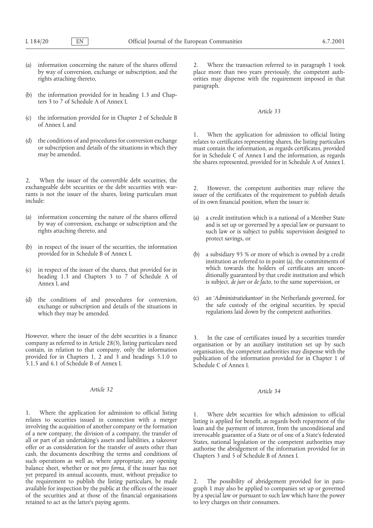- (a) information concerning the nature of the shares offered 2. Where the transaction referred to in paragraph 1 took
- (b) the information provided for in heading 1.3 and Chapters 3 to 7 of Schedule A of Annex I,
- (c) the information provided for in Chapter 2 of Schedule B of Annex I, and
- 

2. When the issuer of the convertible debt securities, the exchangeable debt securities or the debt securities with war-<br>
rants is not the issuer of the shares, listing particulars must<br>
include:<br>
of its own financial position, when the issuer is:<br>
include:

- (a) information concerning the nature of the shares offered (a) a credit institution which is a national of a Member State<br>by way of conversion, exchange or subscription and the and is set up or governed by a special law o
- (b) in respect of the issuer of the securities, the information provided for in Schedule B of Annex I, (b) a subsidiary 95 % or more of which is owned by a credit
- heading 1.3 and Chapters 3 to 7 of Schedule A of Annex I, and is subject, *de jure* or *de facto*, to the same supervision, or
- 

1. Where the application for admission to official listing 1. Where debt securities for which admission to official relates to securities issued in connection with a merger listing is applied for benefit, as regards both r relates to securities issued in connection with a merger<br>involving the acquisition of another company or the formation<br>of a new company, the division of a company, the transfer of<br>all or part of an undertaking's assets and balance sheet, whether or not *pro forma*, if the issuer has not yet prepared its annual accounts, must, without prejudice to the requirement to publish the listing particulars, be made 2. The possibility of abridgement provided for in paraavailable for inspection by the public at the offices of the issuer graph 1 may also be applied to companies set up or governed of the securities and at those of the financial organisations by a special law or pursuant to such law which have the power retained to act as the latter's paying agents. to levy charges on their consumers.

by way of conversion, exchange or subscription, and the place more than two years previously, the competent authrights attaching thereto, orities may dispense with the requirement imposed in that paragraph.

### *Article 33*

(d) the conditions of and procedures for conversion exchange<br>or subscription and details of the situations in which they<br>may be amended.<br>The situations in which they<br>must contain the information, as regards certificates, p the shares represented, provided for in Schedule A of Annex I.

- by way of conversion, exchange or subscription and the and is set up or governed by a special law or pursuant to rights attaching thereto, and such law or is subject to public supervision designed to protect savings, or
- institution as referred to in point (a), the commitments of which towards the holders of certificates are uncon-(c) in respect of the issuer of the shares, that provided for in which towards the holders of certificates are uncon-<br>heading 1.3 and Chapters 3 to 7 of Schedule A of ditionally guaranteed by that credit institution and wh
- (d) the conditions of and procedures for conversion, (c) an 'Administratiekantoor' in the Netherlands governed, for exchange or subscription and details of the situations in which they may be amended. The same explanations regulations laid down by the competent authorities.

However, where the issuer of the debt securities is a finance<br>
company as referred to in Article 28(3), listing particulars need<br>
contain, in relation to that company, only the information<br>
provided for in Chapters 1, 2 an

### *Article 32 Article 34*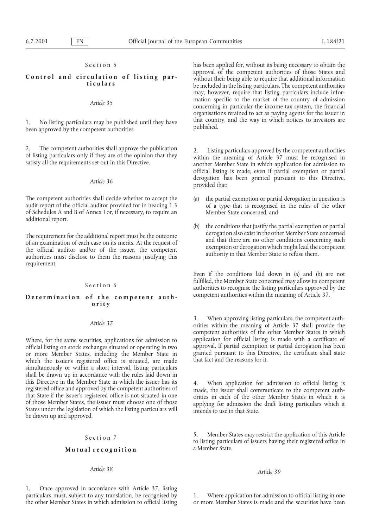2. The competent authorities shall approve the publication<br>of listing particulars approved by the competent authorities<br>of listing particulars only if they are of the opinion that they<br>satisfy all the requirements set out

The competent authorities shall decide whether to accept the (a) the partial exemption or partial derogation in question is audit report of the official auditor provided for in heading 1.3 of a type that is recognised in the rules of the other of Schedules A and B of Annex I or, if necessary, to require an Member State concerned, and additional report.

requirement.

## **ority**

official listing on stock exchanges situated or operating in two approval. If partial exemption or partial derogation has been or more Member States, including the Member State in granted pursuant to this Directive, the certificate state shall state shall state shall state shall state shall state shall state shall state shall state shall state sha which the issuer's registered office is situated, are made simultaneously or within a short interval, listing particulars shall be drawn up in accordance with the rules laid down in this Directive in the Member State in which the issuer has its<br>registered office and approved by the competent authorities of<br>that State if the issuer's registered office is not situated in one<br>of those Member States, the States under the legislation of which the listing particulars will intends to use in that State. be drawn up and approved.

### **Mutual recognition** a Member State.

1. Once approved in accordance with Article 37, listing particulars must, subject to any translation, be recognised by 1. Where application for admission to official listing in one

S e c t i o n 5 has been applied for, without its being necessary to obtain the **Control and circulation of listing par-** approval of the competent authorities of those States and<br>ticulars ticulars ticulars ticulars be included in the listing particulars. The competent authorities may, however, require that listing particulars include information specific to the market of the country of admission *Article 35* concerning in particular the income tax system, the financial organisations retained to act as paying agents for the issuer in 1. No listing particulars may be published until they have that country, and the way in which notices to investors are published.

> official listing is made, even if partial exemption or partial Article 36 **article 36 been** granted pursuant to this Directive, provided that:

- 
- (b) the conditions that justify the partial exemption or partial The requirement for the additional report must be the outcome<br>of an examination of each case on its merits. At the request of<br>the official auditor and/or of the issuer, the competent<br>authority in that Member State to refus

Even if the conditions laid down in (a) and (b) are not fulfilled, the Member State concerned may allow its competent Section 6 authorities to recognise the listing particulars approved by the Determination of the competent auth-<br>
competent within the meaning of Article 37.

3. When approving listing particulars, the competent auth-<br>*Article* 37 orities within the meaning of Article 37 shall provide the competent authorities of the other Member States in which Where, for the same securities, applications for admission to application for official listing is made with a certificate of official listing on stock exchanges situated or operating in two approval. If partial exemption o

Section 7 5. Member States may restrict the application of this Article to listing particulars of issuers having their registered office in

### *Article 38 Article 39*

the other Member States in which admission to official listing or more Member States is made and the securities have been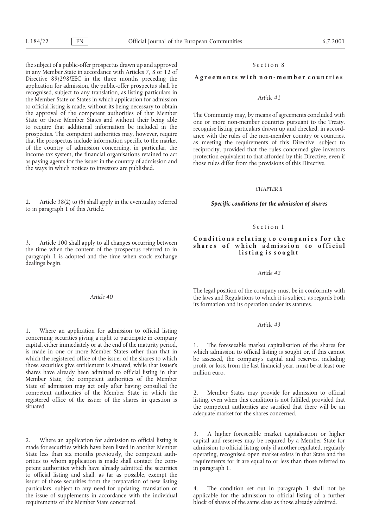the subject of a public-offer prospectus drawn up and approved Section 8 in any Member State in accordance with Articles 7, 8 or 12 of Directive 89/298/EEC in the three months preceding the **Agreements with non-member countries** application for admission, the public-offer prospectus shall be recognised, subject to any translation, as listing particulars in *Article 41* the Member State or States in which application for admission to official listing is made, without its being necessary to obtain the approval of the competent authorities of that Member<br>State or those Member States and without their being able<br>to require that additional information be included in the<br>prospectus. The competent authorities may, howeve

2. Article 38(2) to (5) shall apply in the eventuality referred *Specific conditions for the admission of shares* to in paragraph 1 of this Article.

dealings begin.

1. Where an application for admission to official listing concerning securities giving a right to participate in company capital, either immediately or at the end of the maturity period, 1. The foreseeable market capitalisation of the shares for is made in one or more Member States other than that in which admission to official listing is sought or, if this cannot which the registered office of the issuer of the shares to which be assessed, the company's capital and reserves, including those securities give entitlement is situated, while that issuer's profit or loss, from the last financial year, must be at least one shares have already been admitted to official listing in that million euro. Member State, the competent authorities of the Member State of admission may act only after having consulted the competent authorities of the Member State in which the 2. Member States may provide for admission to official registered office of the issuer of the shares in question is listing, even when this condition is not fulfilled, provided that

made for securities which have been listed in another Member admission to official listing only if another regulated, regularly State less than six months previously, the competent auth-<br>operating, recognised open market e orities to whom application is made shall contact the com- requirements for it are equal to or less than those referred to petent authorities which have already admitted the securities in paragraph 1. to official listing and shall, as far as possible, exempt the issuer of those securities from the preparation of new listing particulars, subject to any need for updating, translation or 4. The condition set out in paragraph 1 shall not be the issue of supplements in accordance with the individual applicable for the admission to official listing of a further requirements of the Member State concerned. block of shares of the same class as those already admitted.

### *CHAPTER II*

### Section 1

# 3. Article 100 shall apply to all changes occurring between<br>the time when the content of the prospectus referred to in<br>paragraph 1 is adopted and the time when stock exchange<br>listing is sought<br>listing is sought

### *Article 42*

The legal position of the company must be in conformity with *Article 40* the laws and Regulations to which it is subject, as regards both its formation and its operation under its statutes.

### *Article 43*

situated. the competent authorities are satisfied that there will be an adequate market for the shares concerned.

3. A higher foreseeable market capitalisation or higher 2. Where an application for admission to official listing is capital and reserves may be required by a Member State for operating, recognised open market exists in that State and the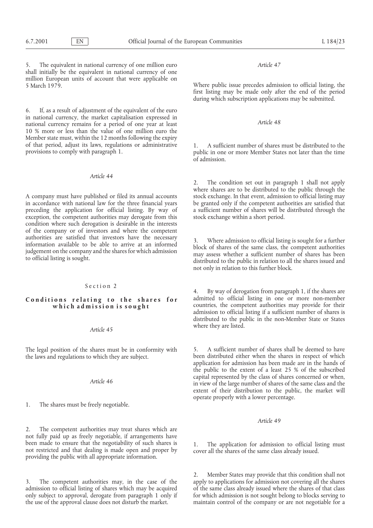5. The equivalent in national currency of one million euro *Article 47* shall initially be the equivalent in national currency of one million European units of account that were applicable on 5 March 1979. Where public issue precedes admission to official listing, the

6. If, as a result of adjustment of the equivalent of the euro in national currency, the market capitalisation expressed in *Article 48* national currency remains for a period of one year at least 10 % more or less than the value of one million euro the Member state must, within the 12 months following the expiry of that period, adjust its laws, regulations or administrative 1. A sufficient number of shares must be distributed to the provisions to comply with paragraph 1.

### *Article 44*

in accordance with national law for the three financial years preceding the application for official listing. By way of exception, the competent authorities may derogate from this condition where such derogation is desirable in the interests of the company or of investors and where the competent

### Section 2

## **Conditions relating to the shares for which admission is sought**

The legal position of the shares must be in conformity with 5. A sufficient number of shares shall be deemed to have the laws and regulations to which they are subject. been distributed either when the shares in respect of which

1. The shares must be freely negotiable.

2. The competent authorities may treat shares which are not fully paid up as freely negotiable, if arrangements have been made to ensure that the negotiability of such shares is <br>not restricted and that dealing is made open and proper by <br>providing the public with all appropriate information.

first listing may be made only after the end of the period during which subscription applications may be submitted.

public in one or more Member States not later than the time of admission.

2. The condition set out in paragraph 1 shall not apply where shares are to be distributed to the public through the A company must have published or filed its annual accounts stock exchange. In that event, admission to official listing may in accordance with national law for the three financial years be granted only if the competent aut a sufficient number of shares will be distributed through the stock exchange within a short period.

authorities are satisfied that investors have the necessary<br>
information available to be able to arrive at an informed<br>
judgement on the company and the shares for which admission<br>
to official listing is sought.<br>
distribut not only in relation to this further block.

> 4. By way of derogation from paragraph 1, if the shares are countries, the competent authorities may provide for their admission to official listing if a sufficient number of shares is distributed to the public in the non-Member State or States where they are listed. *Article 45*

> application for admission has been made are in the hands of the public to the extent of a least 25 % of the subscribed capital represented by the class of shares concerned or when, *Article 46* in view of the large number of shares of the same class and the extent of their distribution to the public, the market will operate properly with a lower percentage.

### *Article 49*

Member States may provide that this condition shall not The competent authorities may, in the case of the apply to applications for admission not covering all the shares admission to official listing of shares which may be acquired of the same class already issued where the shares of that class only subject to approval, derogate from paragraph 1 only if for which admission is not sought belong to blocks serving to the use of the approval clause does not disturb the market. maintain control of the company or are not negotiable for a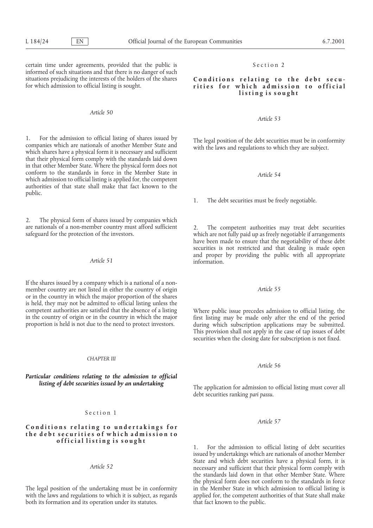certain time under agreements, provided that the public is Section 2 informed of such situations and that there is no danger of such

### *Article 50*

1. For the admission to official listing of shares issued by<br>companies which are nationals of another Member State and<br>with the laws and regulations to which they are subject.<br>which shares have a physical form it is necess that their physical form comply with the standards laid down in that other Member State. Where the physical form does not conform to the standards in force in the Member State in *Article 54* which admission to official listing is applied for, the competent authorities of that state shall make that fact known to the public.

2. The physical form of shares issued by companies which are nationals of a non-member country must afford sufficient 2. The competent authorities may treat debt securities safeguard for the protection of the investors.

If the shares issued by a company which is a national of a nonmember country are not listed in either the country of origin *Article 55* or in the country in which the major proportion of the shares is held, they may not be admitted to official listing unless the competent authorities are satisfied that the absence of a listing

### *CHAPTER III*

### *Particular conditions relating to the admission to official* **listing of debt securities issued by an undertaking** The application for admission to official listing must cover all

### Section 1

### **Conditions relating to undertakings for the debt securities of which admission to**

both its formation and its operation under its statutes. that fact known to the public.

### situations prejudicing the interests of the holders of the shares **Conditions relating to the debt secu-** for which admission to official listing is sought. **rities for which admission to official listing is sought**

### *Article 53*

1. The debt securities must be freely negotiable.

which are not fully paid up as freely negotiable if arrangements. have been made to ensure that the negotiability of these debt securities is not restricted and that dealing is made open and proper by providing the public with all appropriate *Article 51* information.

competent authorities are satisfied that the absence of a listing where public issue precedes admission to official listing, the in the country of origin or in the country in which the major proportion is held is not due t This provision shall not apply in the case of tap issues of debt securities when the closing date for subscription is not fixed.

### *Article 56*

debt securities ranking *pari passu*.

### *Article 57*

**official listing is sought** 1. For the admission to official listing of debt securities issued by undertakings which are nationals of another Member State and which debt securities have a physical form, it is *Article 52* necessary and sufficient that their physical form comply with the standards laid down in that other Member State. Where the physical form does not conform to the standards in force The legal position of the undertaking must be in conformity in the Member State in which admission to official listing is with the laws and regulations to which it is subject, as regards applied for, the competent authorities of that State shall make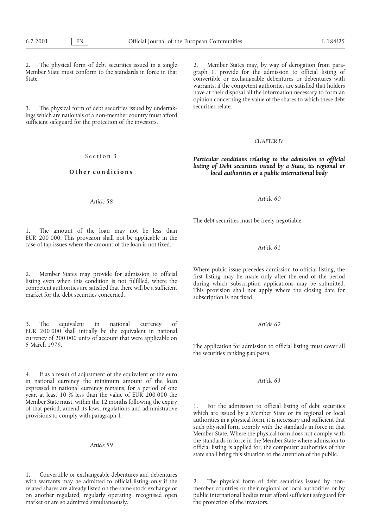2. The physical form of debt securities issued in a single 2. Member States may, by way of derogation from para-Member State must conform to the standards in force in that graph 1, provide for the admission to official listing of State. convertible or exchangeable debentures or debentures with

3. The physical form of debt securities issued by undertakings which are nationals of a non-member country must afford sufficient safeguard for the protection of the investors.

### *Article 60 Article 58*

1. The amount of the loan may not be less than EUR 200 000. This provision shall not be applicable in the case of tap issues where the amount of the loan is not fixed. *Article 61*

3. The equivalent in national currency of *Article 62* EUR 200 000 shall initially be the equivalent in national currency of 200 000 units of account that were applicable on 5 March 1979. The application for admission to official listing must cover all

4. If as a result of adjustment of the equivalent of the euro in national currency the minimum amount of the loan *Article 63* expressed in national currency remains, for a period of one year, at least 10 % less than the value of EUR 200 000 the Member State must, within the 12 months following the expiry

1. Convertible or exchangeable debentures and debentures with warrants may be admitted to official listing only if the 2. The physical form of debt securities issued by nonrelated shares are already listed on the same stock exchange or member countries or their regional or local authorities or by on another regulated, regularly operating, recognised open public international bodies must afford sufficient safeguard for market or are so admitted simultaneously. The protection of the investors.

warrants, if the competent authorities are satisfied that holders have at their disposal all the information necessary to form an opinion concerning the value of the shares to which these debt

### *CHAPTER IV*

Section 3 *Particular conditions relating to the admission to official listing of Debt securities issued by a State, its regional or* **Other conditions** *local authorities or a public international body*

The debt securities must be freely negotiable.

2. Member States may provide for admission to official<br>listing even when this condition is not fulfilled, where the<br>competent authorities are satisfied that there will be a sufficient<br>market for the debt securities concern

the securities ranking *pari passu*.

of that period, amend its laws, regulations and administrative of that period, amend its laws, regulations and administrative provisions to comply with paragraph 1. For the admission to official listing of debt securities such physical form comply with the standards in force in that Member State. Where the physical form does not comply with the standards in force in the Member State where admission to *Article 59* official listing is applied for, the competent authorities of that state shall bring this situation to the attention of the public.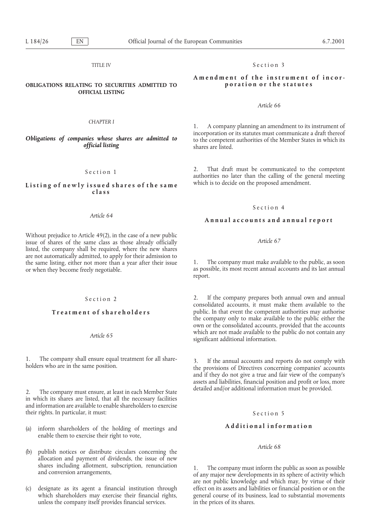### **OBLIGATIONS RELATING TO SECURITIES ADMITTED TO poration or the statutes OFFICIAL LISTING**

### Listing of newly issued shares of the same which is to decide on the proposed amendment. **class**

Without prejudice to Article 49(2), in the case of a new public issue of shares of the same class as those already officially *Article 67* listed, the company shall be required, where the new shares are not automatically admitted, to apply for their admission to the same listing, either not more than a year after their issue 1. The company must make available to the public, as soon

1. The company shall ensure equal treatment for all share-<br>
1. If the annual accounts and reports do not comply with<br>
the provisions of Directives concerning companies' accounts<br>
the provisions of Directives concerning com

detailed and/or additional information must be provided. 2. The company must ensure, at least in each Member State in which its shares are listed, that all the necessary facilities and information are available to enable shareholders to exercise their rights. In particular, it must:  $S$ ection 5

- **Additional information** (a) inform shareholders of the holding of meetings and enable them to exercise their right to vote,
- *Article 68* (b) publish notices or distribute circulars concerning the allocation and payment of dividends, the issue of new
- unless the company itself provides financial services. in the prices of its shares.

### TITLE IV Section 3

## **Amendment of the instrument of incor-**

### *Article 66*

*CHAPTER I* 1. A company planning an amendment to its instrument of **Obligations of companies whose shares are admitted to** to the competent authorities of the Member States in which its official listing of the shares are listed.

Section 1 2. That draft must be communicated to the competent authorities no later than the calling of the general meeting

### Section 4

## *Article 64* **Annual accounts and annual report**

or when they become freely negotiable.  $\overline{\phantom{a}}$  as possible, its most recent annual accounts and its last annual report.

Section 2 2. If the company prepares both annual own and annual consolidated accounts, it must make them available to the **Treatment of shareholders** public. In that event the competent authorities may authorise the company only to make available to the public either the own or the consolidated accounts, provided that the accounts Article 65 which are not made available to the public do not contain any significant additional information.

> and if they do not give a true and fair view of the company's assets and liabilities, financial position and profit or loss, more

shares including allotment, subscription, renunciation 1. The company must inform the public as soon as possible and conversion arrangements,  $\frac{1}{1}$  of any major new developments in its sphere of activity which are not public knowledge and which may, by virtue of their (c) designate as its agent a financial institution through effect on its assets and liabilities or financial position or on the which shareholders may exercise their financial rights, general course of its business, lead to substantial movements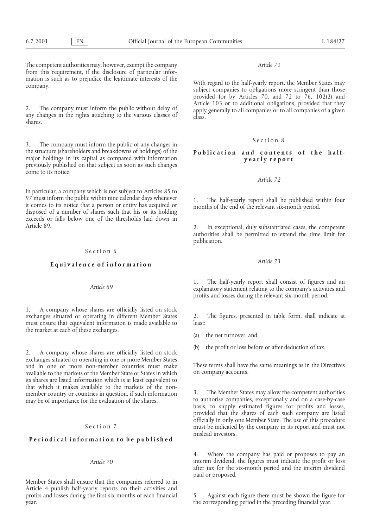The competent authorities may, however, exempt the company *Article 71* from this requirement, if the disclosure of particular information is such as to prejudice the legitimate interests of the With regard to the half-yearly report, the Member States may subject companies to obligations more stringent than those

shares.

Section 8 3. The company must inform the public of any changes in the structure (shareholders and breakdowns of holdings) of the **Publication and contents of the half-**<br>major holdings in its capital as compared with information major holdings in its capital as compared with information **yearly report** previously published on that subject as soon as such changes come to its notice.

In particular, a company which is not subject to Articles 85 to 97 must inform the public within nine calendar days whenever it comes to its notice that a person or entity has acquired or disposed of a number of shares such that his or its holding exceeds or falls below one of the thresholds laid down in Article 89

### Section 6

### *Article 73* **Equivalence of information**

1. A company whose shares are officially listed on stock exchanges situated or operating in different Member States 2. The figures, presented in table form, shall indicate at must ensure that equivalent information is made available to the market at each of these exchanges. (a) the net turnover, and

(b) the profit or loss before or after deduction of tax. 2. A company whose shares are officially listed on stock exchanges situated or operating in one or more Member States and in one or more non-member countries must make These terms shall have the same meanings as in the Directives available to the markets of the Member State or States in which on company accounts. available to the markets of the Member State or States in which its shares are listed information which is at least equivalent to that which it makes available to the markets of the nonmember country or countries in question, if such information 3. The Member States may allow the competent authorities may be of importance for the evaluation of the shares. to authorise companies, exceptionally and on a ca

### **Periodical information to be published**

Member States shall ensure that the companies referred to in Article 4 publish half-yearly reports on their activities and profits and losses during the first six months of each financial 5. Against each figure there must be shown the figure for year. the corresponding period in the preceding financial year.

provided for by Articles 70, and 72 to 76, 102(2) and 2. The company must inform the public without delay of<br>any changes in the rights attaching to the various classes of agives any changes in the rights attaching to the various classes of class.

### *Article 72*

2. In exceptional, duly substantiated cases, the competent authorities shall be permitted to extend the time limit for publication.

1. The half-yearly report shall consist of figures and an explanatory statement relating to the company's activities and  $\epsilon$ profits and losses during the relevant six-month period.

- 
- 

to authorise companies, exceptionally and on a case-by-case basis, to supply estimated figures for profits and losses, provided that the shares of each such company are listed officially in only one Member State. The use of this procedure Section 7 must be indicated by the company in its report and must not mislead investors.

4. Where the company has paid or proposes to pay an *Article 70* interim dividend, the figures must indicate the profit or loss after tax for the six-month period and the interim dividend paid or proposed.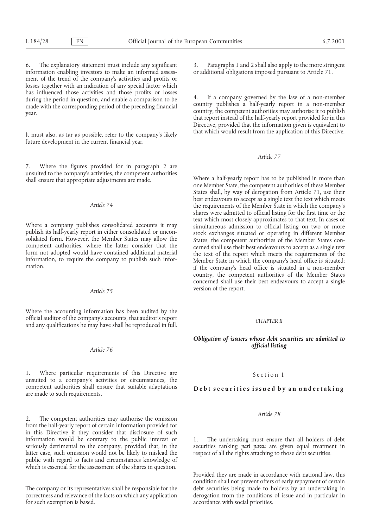6. The explanatory statement must include any significant 3. Paragraphs 1 and 2 shall also apply to the more stringent information enabling investors to make an informed assess- or additional obligations imposed pursuant to Article 71. ment of the trend of the company's activities and profits or losses together with an indication of any special factor which has influenced those activities and those profits or losses<br>during the period in question, and enable a comparison to be<br> $\frac{4}{10}$ . If a company governed by the law of a non-member<br>country publishes a half-yearly report i made with the corresponding period of the preceding financial country publishes a half-yearly report in a non-member<br>country, the competent authorities may authorise it to publish

future development in the current financial year.

7. Where the figures provided for in paragraph 2 are unsuited to the company's activities, the competent authorities<br>shall ensure that appropriate adjustments are made.<br>Where a half-yearly report has to be published in more than<br>one Member State, the competent authorities of

Where the accounting information has been audited by the official auditor of the company's accounts, that auditor's report *CHAPTER II* and any qualifications he may have shall be reproduced in full.

1. Where particular requirements of this Directive are Section 1 unsuited to a company's activities or circumstances, the competent authorities shall ensure that suitable adaptations **Debt securities issued by an undertaking** are made to such requirements.

*Article 78* 2. The competent authorities may authorise the omission from the half-yearly report of certain information provided for in this Directive if they consider that disclosure of such information would be contrary to the public interest or 1. The undertaking must ensure that all holders of debt seriously detrimental to the company, provided that, in the securities ranking *pari passu* are given equal treatment in latter case, such omission would not be likely to mislead the respect of all the rights attaching to latter case, such omission would not be likely to mislead the public with regard to facts and circumstances knowledge of which is essential for the assessment of the shares in question.

correctness and relevance of the facts on which any application derogation from the conditions of issue and in particular in for such exemption is based. accordance with social priorities.

year.<br>
that report instead of the half-yearly report provided for in this Directive, provided that the information given is equivalent to that which would result from the application of this Directive. It must also, as far as possible, refer to the company's likely

### *Article 77*

States shall, by way of derogation from Article 71, use their best endeavours to accept as a single text the text which meets *Article 74* the requirements of the Member State in which the company's shares were admitted to official listing for the first time or the Where a company publishes consolidated accounts it may<br>publish its half-yearly report in either consolidated or uncon-<br>solidated or uncon-<br>solidated form. However, the Member States may allow the<br>competent authorities, whe country, the competent authorities of the Member States concerned shall use their best endeavours to accept a single version of the report. *Article 75*

*Obligation of issuers whose debt securities are admitted to official listing Article 76*

Provided they are made in accordance with national law, this condition shall not prevent offers of early repayment of certain The company or its representatives shall be responsible for the debt securities being made to holders by an undertaking in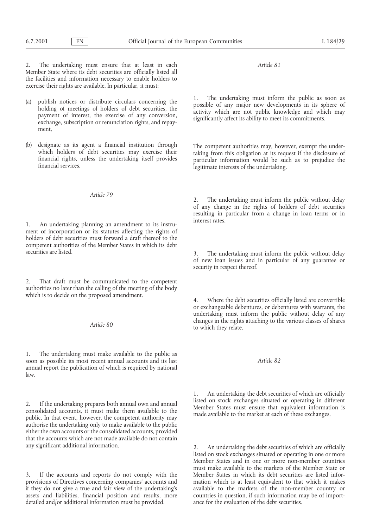2. The undertaking must ensure that at least in each *Article 81* Member State where its debt securities are officially listed all the facilities and information necessary to enable holders to exercise their rights are available. In particular, it must:

- ment,
- 

1. An undertaking planning an amendment to its instru-<br>interest rates. ment of incorporation or its statutes affecting the rights of holders of debt securities must forward a draft thereof to the competent authorities of the Member States in which its debt

2. That draft must be communicated to the competent authorities no later than the calling of the meeting of the body which is to decide on the proposed amendment.<br>4. Where the debt securities officially listed are convertible

1. The undertaking must make available to the public as soon as possible its most recent annual accounts and its last *Article 82* annual report the publication of which is required by national law.

authorise the undertaking only to make available to the public either the own accounts or the consolidated accounts, provided that the accounts which are not made available do not contain any significant additional information. 2. An undertaking the debt securities of which are officially

provisions of Directives concerning companies' accounts and mation which is at least equivalent to that which it makes if they do not give a true and fair view of the undertaking's available to the markets of the non-member country or assets and liabilities, financial position and results, more countries in question, if such information may be of importdetailed and/or additional information must be provided. ance for the evaluation of the debt securities.

(a) publish notices or distribute circulars concerning the holding of meetings of holders of debt securities, the possible of any major new developments in its sphere of payment of interest, the exercise of any conversion,

(b) designate as its agent a financial institution through The competent authorities may, however, exempt the under-<br>which holders of debt securities may exercise their financial rights, unless the undertaking itself provi

*Article 79* 2. The undertaking must inform the public without delay of any change in the rights of holders of debt securities resulting in particular from a change in loan terms or in

> 3. The undertaking must inform the public without delay of new loan issues and in particular of any guarantee or security in respect thereof.

or exchangeable debentures, or debentures with warrants, the undertaking must inform the public without delay of any changes in the rights attaching to the various classes of shares *Article 80* to which they relate.

An undertaking the debt securities of which are officially 2. If the undertaking prepares both annual own and annual listed on stock exchanges situated or operating in different consolidated accounts, it must make them available to the public. In that event, however, the competent

listed on stock exchanges situated or operating in one or more Member States and in one or more non-member countries must make available to the markets of the Member State or 3. If the accounts and reports do not comply with the Member States in which its debt securities are listed infor-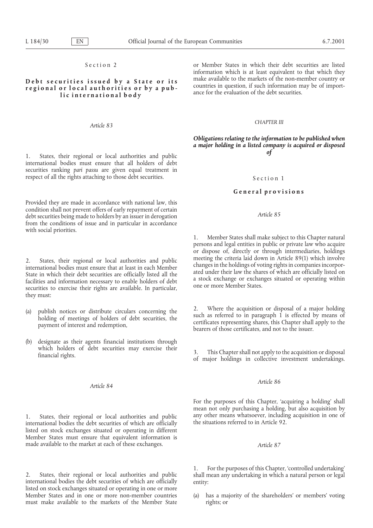1. States, their regional or local authorities and public international bodies must ensure that all holders of debt securities ranking *pari passu* are given equal treatment in respect of all the rights attaching to those debt securities. Section 1

Provided they are made in accordance with national law, this condition shall not prevent offers of early repayment of certain condition shall not prevent offers of early repayment of certain *Article 85* debt securities being made to holders by an issuer in derogation from the conditions of issue and in particular in accordance with social priorities.

2. States, their regional or local authorities and public international bodies must ensure that at least in each Member<br>
State in which their debt securities are officially listed all the<br>
facilities and information necess they must:

- 
- (b) designate as their agents financial institutions through

international bodies the debt securities of which are officially listed on stock exchanges situated or operating in different Member States must ensure that equivalent information is made available to the market at each of these exchanges. *Article 87* 

international bodies the debt securities of which are officially entity: listed on stock exchanges situated or operating in one or more Member States and in one or more non-member countries (a) has a majority of the shareholders' or members' voting must make available to the markets of the Member State rights; or

Section 2 or Member States in which their debt securities are listed information which is at least equivalent to that which they Debt securities issued by a State or its make available to the markets of the non-member country or regional or local authorities or by a pub-<br>lic international body<br>lic international body

### *CHAPTER III Article 83*

*Obligations relating to the information to be published when a major holding in a listed company is acquired or disposed*

### **General provisions**

1. Member States shall make subject to this Chapter natural persons and legal entities in public or private law who acquire or dispose of, directly or through intermediaries, holdings

(a) publish notices or distribute circulars concerning the head is a major holding of meetings of holders of debt securities, the head is a referred to in paragraph 1 is effected by means of payment of interest and redempt

which holders of debt securities may exercise their 3. This Chapter shall not apply to the acquisition or disposal of major holdings in collective investment undertakings.

### *Article 86 Article 84*

For the purposes of this Chapter, 'acquiring a holding' shall mean not only purchasing a holding, but also acquisition by 1. States, their regional or local authorities and public any other means whatsoever, including acquisition in one of international bodies the debt securities of which are officially the situations referred to in Article 9

1. For the purposes of this Chapter, 'controlled undertaking' 2. States, their regional or local authorities and public shall mean any undertaking in which a natural person or legal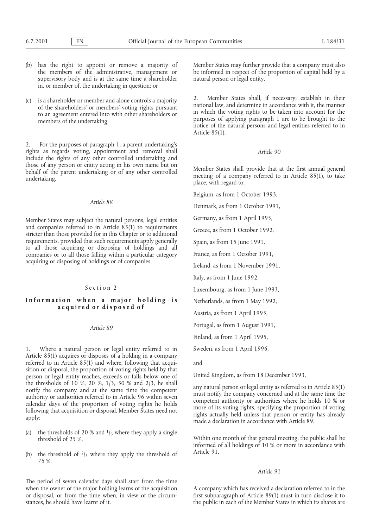- supervisory body and is at the same time a shareholder natural person or legal entity. in, or member of, the undertaking in question; or
- 

2. For the purposes of paragraph 1, a parent undertaking's rights as regards voting, appointment and removal shall *Article 90* include the rights of any other controlled undertaking and those of any person or entity acting in his own name but on<br>behalf of the parent undertaking or of any other controlled<br>undertaking.<br>place, with regard to:<br>place, with regard to:

Member States may subject the natural persons, legal entities Germany, as from 1 April 1995, and companies referred to in Article 85(1) to requirements Greece, as from 1 October 1992, stricter than those provided for in this Chapter or to additional requirements, provided that such requirements apply generally<br>to all those acquiring or disposing of holdings and all<br>companies or to all those falling within a particular category France, as from 1 October 1991. companies or to all those falling within a particular category acquiring or disposing of holdings or of companies. Ireland, as from 1 November 1991,

## **Information when a major holding is** Netherlands, as from 1 May 1992,<br>**acquired or disposed of** Austria, as from 1 April 1995,

1. Where a natural person or legal entity referred to in Sweden, as from 1 April 1996, Article 85(1) acquires or disposes of a holding in a company referred to in Article 85(1) and where, following that acqui- and sition or disposal, the proportion of voting rights held by that person or legal entity reaches, exceeds or falls below one of United Kingdom, as from 18 December 1993, the thresholds of 10 %, 20 %, 1/3, 50 % and 2/3, he shall the thresholds of 10 %, 20 %, 1/3, 50 % and 2/3, he shall<br>notify the company and at the same time the competent<br>authority or authorities referred to in Article 96 within seven<br>calendar days of the proportion of voting righ

- (a) the thresholds of 20 % and  $\frac{1}{3}$  where they apply a single threshold of 25 %,
- (b) the threshold of  $\frac{2}{3}$  where they apply the threshold of Article 91. 75 %.

The period of seven calendar days shall start from the time when the owner of the major holding learns of the acquisition A company which has received a declaration referred to in the or disposal, or from the time when, in view of the circum- first subparagraph of Article 89(1) must in turn disclose it to

(b) has the right to appoint or remove a majority of Member States may further provide that a company must also the members of the administrative, management or be informed in respect of the proportion of capital held by a

(c) is a shareholder or member and alone controls a majority and the States shall, if necessary, establish in their of the shareholders' or members' voting rights pursuant to an agreement entered into with other shareholde members of the undertaking. purposes of applying paragraph 1 are to be brought to the notice of the natural persons and legal entities referred to in Article 85(1).

Belgium, as from 1 October 1993,

*Article 88* Denmark, as from 1 October 1991,

Italy, as from 1 June 1992,

Section 2 Luxembourg, as from 1 June 1993,

Portugal, as from 1 August 1991, *Article 89*

Finland, as from 1 April 1995,

Within one month of that general meeting, the public shall be informed of all holdings of 10 % or more in accordance with

### *Article 91*

stances, he should have learnt of it. the public in each of the Member States in which its shares are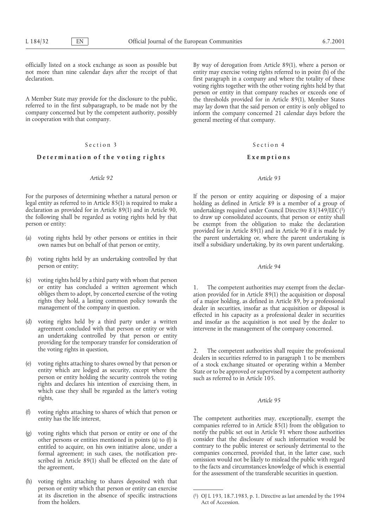officially listed on a stock exchange as soon as possible but By way of derogation from Article 89(1), where a person or not more than nine calendar days after the receipt of that entity may exercise voting rights referred to in point (h) of the declaration. **first paragraph in a company and where the totality of these** 

### Section 3 Section 4

### **Determination of the voting rights Exemptions**

### *Article 92 Article 93*

For the purposes of determining whether a natural person or If the person or entity acquiring or disposing of a major legal entity as referred to in Article 85(1) is required to make a holding as defined in Article 89 is a legal entity as referred to in Article 85(1) is required to make a holding as defined in Article 89 is a member of a group of declaration as provided for in Article 89(1) and in Article 90, undertakings required under Coun declaration as provided for in Article 89(1) and in Article 90, undertakings required under Council Directive 83/349/EEC(1) the following shall be regarded as voting rights held by that to draw up consolidated accounts, th the following shall be regarded as voting rights held by that person or entity:

- 
- (b) voting rights held by an undertaking controlled by that person or entity; *Article 94*
- (c) voting rights held by a third party with whom that person
- agreement concluded with that person or entity or with intervene in the management of the company concerned. an undertaking controlled by that person or entity providing for the temporary transfer for consideration of
- rights and declares his intention of exercising them, in which case they shall be regarded as the latter's voting rights, *Article 95*
- (f) voting rights attaching to shares of which that person or
- 
- (h) voting rights attaching to shares deposited with that person or entity which that person or entity can exercise at its discretion in the absence of specific instructions (1) OJ L 193, 18.7.1983, p. 1. Directive as last amended by the 1994 from the holders. Act of Accession.

voting rights together with the other voting rights held by that A Member State may provide for the disclosure to the public,<br>
referred to in the first subparagraph, to be made not by the may lay down that the said person or entity is only obliged to<br>
company concerned but by the compet

be exempt from the obligation to make the declaration provided for in Article 89(1) and in Article 90 if it is made by (a) voting rights held by other persons or entities in their the parent undertaking or, where the parent undertaking is own names but on behalf of that person or entity, itself a subsidiary undertaking, by its own parent undertaking.

or entity has concluded a written agreement which 1. The competent authorities may exempt from the declar-<br>obliges them to adopt, by concerted exercise of the voting ation provided for in Article 89(1) the acquisition or d obliges them to adopt, by concerted exercise of the voting ation provided for in Article 89(1) the acquisition or disposal rights they hold, a lasting common policy towards the of a major holding, as defined in Article 89, rights they hold, a lasting common policy towards the of a major holding, as defined in Article 89, by a professional dealer in securities, insofar as that acquisition or disposal is dealer in securities, insofar as that acquisition or disposal is effected in his capacity as a professional dealer in securities (d) voting rights held by a third party under a written and insofar as the acquisition is not used by the dealer to

the voting rights in question,  $\begin{array}{c} 2. \end{array}$  The competent authorities shall require the professional dealers in securities referred to in paragraph 1 to be members (e) voting rights attaching to shares owned by that person or<br>entity which are lodged as security, except where the<br>person or entity holding the security controls the voting<br>such as referred to in Article 105.

entity has the life interest, The competent authorities may, exceptionally, exempt the companies referred to in Article 85(1) from the obligation to (g) voting rights which that person or entity or one of the notify the public set out in Article 91 where those authorities other persons or entities mentioned in points (a) to (f) is consider that the disclosure of such information would be entitled to acquire, on his own initiative alone, under a contrary to the public interest or seriously detrimental to the formal agreement; in such cases, the notification pre-<br>
companies concerned, provided that, in the latter case, such scribed in Article 89(1) shall be effected on the date of omission would not be likely to mislead the public with regard the agreement, the agreement, the agreement, the facts and circumstances knowledge of which is essential for the assessment of the transferable securities in question.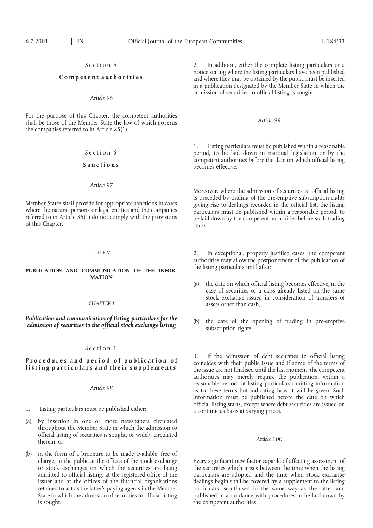For the purpose of this Chapter, the competent authorities *shall be those of the Member State the law of which governs Article 99* the companies referred to in Article 85(1).

### *Article 97*

### the listing particulars until after: **PUBLICATION AND COMMUNICATION OF THE INFOR-MATION**

*Publication and communication of listing particulars for the* (b) the date of the opening of trading in pre-emptive *admission of securities to the official stock exchange listing* (b) the date of the opening of trading i

### Section 1

- 
- (a) by insertion in one or more newspapers circulated throughout the Member State in which the admission to official listing of securities is sought, or widely circulated *Article 100* therein, or
- (b) in the form of a brochure to be made available, free of is sought. the competent authorities.

S e c t i o n 5 2. In addition, either the complete listing particulars or a **Competent authorities** and where the listing particulars have been published and where they may be obtained by the public must be inserted in a publication designated by the Member State in which the admission of securities to official listing is sought. *Article 96*

1. Listing particulars must be published within a reasonable Section 6 **period**, to be laid down in national legislation or by the **Sanctions** competent authorities before the date on which official listing becomes effective.

Moreover, where the admission of securities to official listing Member States shall provide for appropriate sanctions in cases<br>where the natural persons or legal entities and the companies<br>referred to in Article 85(1) do not comply with the provisions<br>of this Chapter.<br>of this Chapter.

> TITLE V 2. In exceptional, properly justified cases, the competent authorities may allow the postponement of the publication of

- (a) the date on which official listing becomes effective, in the case of securities of a class already listed on the same stock exchange issued in consideration of transfers of *CHAPTER I* assets other than cash,
	-

**Procedures and period of publication of** 3. If the admission of debt securities to official listing<br>listing particulars and their supplements<br>listing particulars and their supplements<br>the issue are not finalised until the authorities may merely require the publication, within a reasonable period, of listing particulars omitting information *Article 98* as to these terms but indicating how it will be given. Such information must be published before the date on which 1. Listing particulars must be published either:<br>
a continuous basis at varying prices.

charge, to the public at the offices of the stock exchange Every significant new factor capable of affecting assessment of or stock exchanges on which the securities are being the securities which arises between the time when the listing admitted to official listing, at the registered office of the particulars are adopted and the time when stock exchange issuer and at the offices of the financial organisations dealings begin shall be covered by a supplement to the listing retained to act as the latter's paying agents in the Member particulars, scrutinised in the same way as the latter and State in which the admission of securities to official listing published in accordance with procedures to be laid down by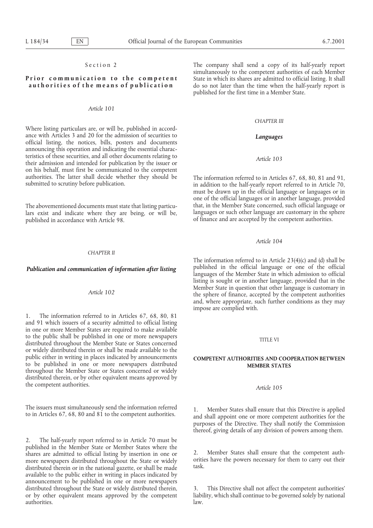### *Article 101*

Where listing particulars are, or will be, published in accordance with Articles 3 and 20 for the admission of securities to *Languages* official listing, the notices, bills, posters and documents announcing this operation and indicating the essential characteristics of these securities, and all other documents relating to *Article 103* their admission and intended for publication by the issuer or on his behalf, must first be communicated to the competent authorities. The latter shall decide whether they should be The information referred to in Articles 67, 68, 80, 81 and 91, submitted to scrutiny before publication.  $\frac{1}{10}$  in addition to the half-vearly report referred

lars exist and indicate where they are being, or will be, published in accordance with Article 98.  $\qquad \qquad$  of finance and are accepted by the competent authorities.

### *CHAPTER II*

1. The information referred to in Articles 67, 68, 80, 81 and 91 which issuers of a security admitted to official listing in one or more Member States are required to make available to the public shall be published in one or more newspapers distributed throughout the Member State or States concerned or widely distributed therein or shall be made available to the public either in writing in places indicated by announcements **COMPETENT AUTHORITIES AND COOPERATION BETWEEN** to be published in one or more newspapers distributed **MEMBER STATES** throughout the Member State or States concerned or widely distributed therein, or by other equivalent means approved by the competent authorities. *Article 105*

The issuers must simultaneously send the information referred<br>to in Articles 67, 68, 80 and 81 to the competent authorities.<br>and shall appoint one or more competent authorities for the

2. The half-yearly report referred to in Article 70 must be published in the Member State or Member States where the<br>
shares are admitted to official listing by insertion in one or and the States shall ensure that the competent auth-<br>
nore newspapers distributed throughout the Stat more newspapers distributed throughout the State or widely oritin<br>distributed them to necessary for the powers of the powers of the powers of them to care<br> $\frac{1}{\sqrt{2}}$ distributed therein or in the national gazette, or shall be made available to the public either in writing in places indicated by announcement to be published in one or more newspapers distributed throughout the State or widely distributed therein,  $\qquad 3.$  This Directive shall not affect the competent authorities' or by other equivalent means approved by the competent liability, which shall continue to be governed solely by national authorities. law.

Section 2 The company shall send a copy of its half-yearly report simultaneously to the competent authorities of each Member **Prior communication to the competent** State in which its shares are admitted to official listing. It shall **authorities of the means of publication** do so not later than the time when the half-yearly report is do so not later than the time when the half-yearly report is published for the first time in a Member State.

### *CHAPTER III*

in addition to the half-yearly report referred to in Article 70, must be drawn up in the official language or languages or in one of the official languages or in another language, provided The abovementioned documents must state that listing particu-<br>
languages or such other language are customary in the sphere<br>
languages or such other language are customary in the sphere

### *Article 104*

The information referred to in Article 23(4)(c) and (d) shall be **Publication and communication of information after listing** published in the official language or one of the official **languages** of the Member State in which admission to official listing is sought or in another language, provided that in the Member State in question that other language is customary in<br>the sphere of finance, accepted by the competent authorities and, where appropriate, such further conditions as they may impose are complied with.

purposes of the Directive. They shall notify the Commission thereof, giving details of any division of powers among them.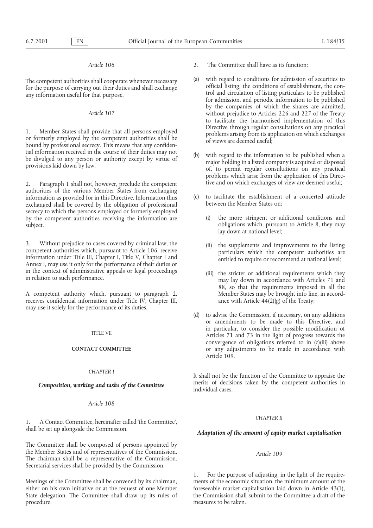1. Member States shall provide that all persons employed<br>or formerly employed by the competent authorities shall be<br>bound by professional secrecy. This means that any confiden-<br>tial information received in the course of th

authorities of the various Member States from exchanging information as provided for in this Directive. Information thus (c) to facilitate the establishment of a concerted attitude<br>exchanged shall be covered by the obligation of professional between the Member States on: exchanged shall be covered by the obligation of professional secrecy to which the persons employed or formerly employed by the competent authorities receiving the information are (i) the more stringent or additional conditions and subject.

3. Without prejudice to cases covered by criminal law, the (ii) the supplements and improvements to the listing competent authorities which, pursuant to Article 106, receive information under Title III, Chapter I, Title V, in the context of administrative appeals or legal proceedings (iii) the stricter or additional requirements which they may lay down in accordance with Articles 71 and

receives confidential information under Title IV, Chapter III, ance with Article  $44(2)(g)$  of the Treaty; may use it solely for the performance of its duties.

### *Article 108*

1. A Contact Committee, hereinafter called 'the Committee', CHAPTER II shall be set up alongside the Commission. *Adaptation of the amount of equity market capitalisation*

The Committee shall be composed of persons appointed by the Member States and of representatives of the Commission. *Article 109* The chairman shall be a representative of the Commission. Secretarial services shall be provided by the Commission.

State delegation. The Committee shall draw up its rules of procedure. The measures to be taken.

- *Article 106* 2. The Committee shall have as its function:
- The competent authorities shall cooperate whenever necessary (a) with regard to conditions for admission of securities to for the purpose of carrying out their duties and shall exchange any information useful for that purp by the companies of which the shares are admitted, *Article 107* without prejudice to Articles 226 and 227 of the Treaty to facilitate the harmonised implementation of this Directive through regular consultations on any practical
- tial information received in the course of their duties may not<br>be divulged to any person or authority except by virtue of<br>provisions laid down by law.<br>of, to permit regular consultations on any practical problems which arise from the application of this Direc-2. Paragraph 1 shall not, however, preclude the competent tive and on which exchanges of view are deemed useful;
	- - lay down at national level;
		-
- 88, so that the requirements imposed in all the A competent authority which, pursuant to paragraph 2, Member States may be brought into line, in accord-
	- (d) to advise the Commission, if necessary, on any additions or amendments to be made to this Directive, and in particular, to consider the possible modification of<br>Articles 71 and 73 in the light of progress towards the convergence of obligations referred to in (c)(iii) above **CONTACT COMMITTEE** or any adjustments to be made in accordance with Article 109.

*CHAPTER I* It shall not be the function of the Committee to appraise the **Composition, working and tasks of the Committee computer individual cases**.

1. For the purpose of adjusting, in the light of the require-Meetings of the Committee shall be convened by its chairman, ments of the economic situation, the minimum amount of the either on his own initiative or at the request of one Member foreseeable market capitalisation laid down in Article 43(1), State delegation. The Committee shall draw up its rules of the Commission shall submit to the Commi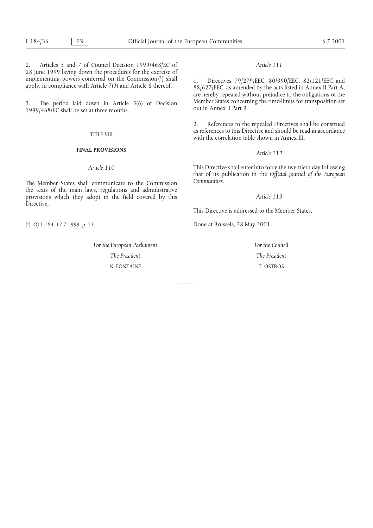2. Articles 5 and 7 of Council Decision 1999/468/EC of *Article 111* 28 June 1999 laying down the procedures for the exercise of implementing powers conferred on the Commission<sup>(1)</sup> shall

3. The period laid down in Article 5(6) of Decision Member States concerning 1999/468/EC shall be set at three months.

### **FINAL PROVISIONS** *Article 112*

The Member States shall communicate to the Commission the texts of the main laws, regulations and administrative provisions which they adopt in the field covered by this *Article 113* Directive.

For the European Parliament **For the Council** For the Council *The President The President* N. FONTAINE T. ÖSTROS

implementing powers conferred on the Commission<sup>(1)</sup> shall  $\frac{1}{88/627/EEC}$ ,  $\frac{39}{279/EEC}$ ,  $\frac{80}{390/EEC}$ ,  $\frac{82}{121/EEC}$  and apply, in compliance with Article 7(3) and Article 8 thereof. are hereby repealed without prejudice to the obligations of the

> 2. References to the repealed Directives shall be construed as references to this Directive and should be read in accordance TITLE VIII with the correlation table shown in Annex III.

*Article 110* This Directive shall enter into force the twentieth day following that of its publication in the *Official Journal of the European*

This Directive is addressed to the Member States.

(1) OJ L 184, 17.7.1999, p. 23. Done at Brussels, 28 May 2001.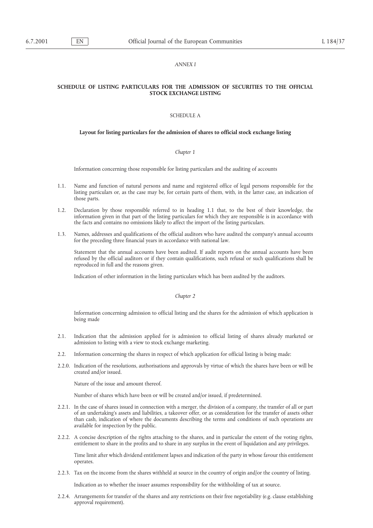### *ANNEX I*

### **SCHEDULE OF LISTING PARTICULARS FOR THE ADMISSION OF SECURITIES TO THE OFFICIAL STOCK EXCHANGE LISTING**

### SCHEDULE A

### **Layout for listing particulars for the admission of shares to official stock exchange listing**

### *Chapter 1*

Information concerning those responsible for listing particulars and the auditing of accounts

- 1.1. Name and function of natural persons and name and registered office of legal persons responsible for the listing particulars or, as the case may be, for certain parts of them, with, in the latter case, an indication of those parts.
- 1.2. Declaration by those responsible referred to in heading 1.1 that, to the best of their knowledge, the information given in that part of the listing particulars for which they are responsible is in accordance with the facts and contains no omissions likely to affect the import of the listing particulars.
- 1.3. Names, addresses and qualifications of the official auditors who have audited the company's annual accounts for the preceding three financial years in accordance with national law.

Statement that the annual accounts have been audited. If audit reports on the annual accounts have been refused by the official auditors or if they contain qualifications, such refusal or such qualifications shall be reproduced in full and the reasons given.

Indication of other information in the listing particulars which has been audited by the auditors.

### *Chapter 2*

Information concerning admission to official listing and the shares for the admission of which application is being made

- 2.1. Indication that the admission applied for is admission to official listing of shares already marketed or admission to listing with a view to stock exchange marketing.
- 2.2. Information concerning the shares in respect of which application for official listing is being made:
- 2.2.0. Indication of the resolutions, authorisations and approvals by virtue of which the shares have been or will be created and/or issued.

Nature of the issue and amount thereof.

Number of shares which have been or will be created and/or issued, if predetermined.

- 2.2.1. In the case of shares issued in connection with a merger, the division of a company, the transfer of all or part of an undertaking's assets and liabilities, a takeover offer, or as consideration for the transfer of assets other than cash, indication of where the documents describing the terms and conditions of such operations are available for inspection by the public.
- 2.2.2. A concise description of the rights attaching to the shares, and in particular the extent of the voting rights, entitlement to share in the profits and to share in any surplus in the event of liquidation and any privileges.

Time limit after which dividend entitlement lapses and indication of the party in whose favour this entitlement operates.

2.2.3. Tax on the income from the shares withheld at source in the country of origin and/or the country of listing.

Indication as to whether the issuer assumes responsibility for the withholding of tax at source.

2.2.4. Arrangements for transfer of the shares and any restrictions on their free negotiability (e.g. clause establishing approval requirement).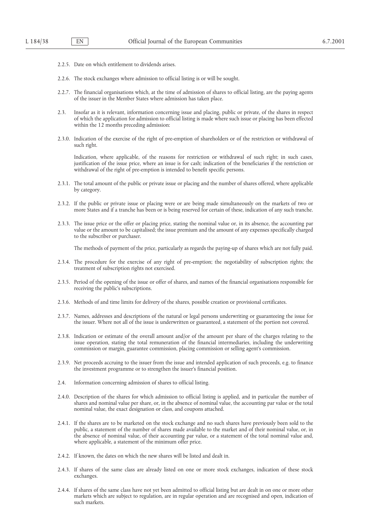- 2.2.5. Date on which entitlement to dividends arises.
- 2.2.6. The stock exchanges where admission to official listing is or will be sought.
- 2.2.7. The financial organisations which, at the time of admission of shares to official listing, are the paying agents of the issuer in the Member States where admission has taken place.
- 2.3. Insofar as it is relevant, information concerning issue and placing, public or private, of the shares in respect of which the application for admission to official listing is made where such issue or placing has been effected within the 12 months preceding admission:
- 2.3.0. Indication of the exercise of the right of pre-emption of shareholders or of the restriction or withdrawal of such right.

Indication, where applicable, of the reasons for restriction or withdrawal of such right; in such cases, justification of the issue price, where an issue is for cash; indication of the beneficiaries if the restriction or withdrawal of the right of pre-emption is intended to benefit specific persons.

- 2.3.1. The total amount of the public or private issue or placing and the number of shares offered, where applicable by category.
- 2.3.2. If the public or private issue or placing were or are being made simultaneously on the markets of two or more States and if a tranche has been or is being reserved for certain of these, indication of any such tranche.
- 2.3.3. The issue price or the offer or placing price, stating the nominal value or, in its absence, the accounting par value or the amount to be capitalised; the issue premium and the amount of any expenses specifically charged to the subscriber or purchaser.

The methods of payment of the price, particularly as regards the paying-up of shares which are not fully paid.

- 2.3.4. The procedure for the exercise of any right of pre-emption; the negotiability of subscription rights; the treatment of subscription rights not exercised.
- 2.3.5. Period of the opening of the issue or offer of shares, and names of the financial organisations responsible for receiving the public's subscriptions.
- 2.3.6. Methods of and time limits for delivery of the shares, possible creation or provisional certificates.
- 2.3.7. Names, addresses and descriptions of the natural or legal persons underwriting or guaranteeing the issue for the issuer. Where not all of the issue is underwritten or guaranteed, a statement of the portion not covered.
- 2.3.8. Indication or estimate of the overall amount and/or of the amount per share of the charges relating to the issue operation, stating the total remuneration of the financial intermediaries, including the underwriting commission or margin, guarantee commission, placing commission or selling agent's commission.
- 2.3.9. Net proceeds accruing to the issuer from the issue and intended application of such proceeds, e.g. to finance the investment programme or to strengthen the issuer's financial position.
- 2.4. Information concerning admission of shares to official listing.
- 2.4.0. Description of the shares for which admission to official listing is applied, and in particular the number of shares and nominal value per share, or, in the absence of nominal value, the accounting par value or the total nominal value, the exact designation or class, and coupons attached.
- 2.4.1. If the shares are to be marketed on the stock exchange and no such shares have previously been sold to the public, a statement of the number of shares made available to the market and of their nominal value, or, in the absence of nominal value, of their accounting par value, or a statement of the total nominal value and, where applicable, a statement of the minimum offer price.
- 2.4.2. If known, the dates on which the new shares will be listed and dealt in.
- 2.4.3. If shares of the same class are already listed on one or more stock exchanges, indication of these stock exchanges.
- 2.4.4. If shares of the same class have not yet been admitted to official listing but are dealt in on one or more other markets which are subject to regulation, are in regular operation and are recognised and open, indication of such markets.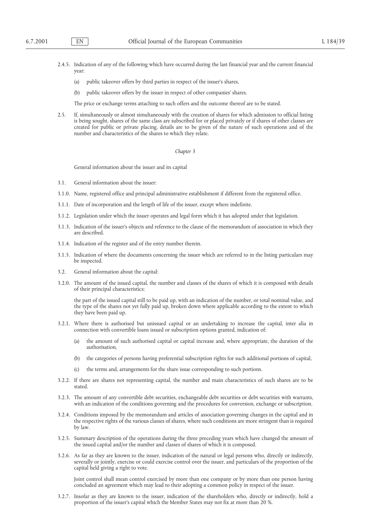- 2.4.5. Indication of any of the following which have occurred during the last financial year and the current financial year:
	- (a) public takeover offers by third parties in respect of the issuer's shares,
	- (b) public takeover offers by the issuer in respect of other companies' shares.

The price or exchange terms attaching to such offers and the outcome thereof are to be stated.

2.5. If, simultaneously or almost simultaneously with the creation of shares for which admission to official listing is being sought, shares of the same class are subscribed for or placed privately or if shares of other classes are created for public or private placing, details are to be given of the nature of such operations and of the number and characteristics of the shares to which they relate.

### *Chapter 3*

General information about the issuer and its capital

- 3.1. General information about the issuer:
- 3.1.0. Name, registered office and principal administrative establishment if different from the registered office.
- 3.1.1. Date of incorporation and the length of life of the issuer, except where indefinite.
- 3.1.2. Legislation under which the issuer operates and legal form which it has adopted under that legislation.
- 3.1.3. Indication of the issuer's objects and reference to the clause of the memorandum of association in which they are described.
- 3.1.4. Indication of the register and of the entry number therein.
- 3.1.5. Indication of where the documents concerning the issuer which are referred to in the listing particulars may be inspected.
- 3.2. General information about the capital:
- 3.2.0. The amount of the issued capital, the number and classes of the shares of which it is composed with details of their principal characteristics;

the part of the issued capital still to be paid up, with an indication of the number, or total nominal value, and the type of the shares not yet fully paid up, broken down where applicable according to the extent to which they have been paid up.

- 3.2.1. Where there is authorised but unissued capital or an undertaking to increase the capital, inter alia in connection with convertible loans issued or subscription options granted, indication of:
	- (a) the amount of such authorised capital or capital increase and, where appropriate, the duration of the authorisation,
	- (b) the categories of persons having preferential subscription rights for such additional portions of capital,
	- the terms and, arrangements for the share issue corresponding to such portions.
- 3.2.2. If there are shares not representing capital, the number and main characteristics of such shares are to be stated.
- 3.2.3. The amount of any convertible debt securities, exchangeable debt securities or debt securities with warrants, with an indication of the conditions governing and the procedures for conversion, exchange or subscription.
- 3.2.4. Conditions imposed by the memorandum and articles of association governing changes in the capital and in the respective rights of the various classes of shares, where such conditions are more stringent than is required by law.
- 3.2.5. Summary description of the operations during the three preceding years which have changed the amount of the issued capital and/or the number and classes of shares of which it is composed.
- 3.2.6. As far as they are known to the issuer, indication of the natural or legal persons who, directly or indirectly, severally or jointly, exercise or could exercise control over the issuer, and particulars of the proportion of the capital held giving a right to vote.

Joint control shall mean control exercised by more than one company or by more than one person having concluded an agreement which may lead to their adopting a common policy in respect of the issuer.

3.2.7. Insofar as they are known to the issuer, indication of the shareholders who, directly or indirectly, hold a proportion of the issuer's capital which the Member States may not fix at more than 20 %.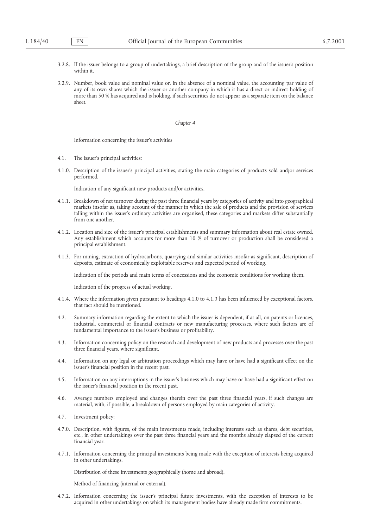- 3.2.8. If the issuer belongs to a group of undertakings, a brief description of the group and of the issuer's position within it.
- 3.2.9. Number, book value and nominal value or, in the absence of a nominal value, the accounting par value of any of its own shares which the issuer or another company in which it has a direct or indirect holding of more than 50 % has acquired and is holding, if such securities do not appear as a separate item on the balance sheet.

### *Chapter 4*

Information concerning the issuer's activities

- 4.1. The issuer's principal activities:
- 4.1.0. Description of the issuer's principal activities, stating the main categories of products sold and/or services performed.

Indication of any significant new products and/or activities.

- 4.1.1. Breakdown of net turnover during the past three financial years by categories of activity and into geographical markets insofar as, taking account of the manner in which the sale of products and the provision of services falling within the issuer's ordinary activities are organised, these categories and markets differ substantially from one another.
- 4.1.2. Location and size of the issuer's principal establishments and summary information about real estate owned. Any establishment which accounts for more than 10 % of turnover or production shall be considered a principal establishment.
- 4.1.3. For mining, extraction of hydrocarbons, quarrying and similar activities insofar as significant, description of deposits, estimate of economically exploitable reserves and expected period of working.

Indication of the periods and main terms of concessions and the economic conditions for working them.

Indication of the progress of actual working.

- 4.1.4. Where the information given pursuant to headings 4.1.0 to 4.1.3 has been influenced by exceptional factors, that fact should be mentioned.
- 4.2. Summary information regarding the extent to which the issuer is dependent, if at all, on patents or licences, industrial, commercial or financial contracts or new manufacturing processes, where such factors are of fundamental importance to the issuer's business or profitability.
- 4.3. Information concerning policy on the research and development of new products and processes over the past three financial years, where significant.
- 4.4. Information on any legal or arbitration proceedings which may have or have had a significant effect on the issuer's financial position in the recent past.
- 4.5. Information on any interruptions in the issuer's business which may have or have had a significant effect on the issuer's financial position in the recent past.
- 4.6. Average numbers employed and changes therein over the past three financial years, if such changes are material, with, if possible, a breakdown of persons employed by main categories of activity.
- 4.7. Investment policy:
- 4.7.0. Description, with figures, of the main investments made, including interests such as shares, debt securities, etc., in other undertakings over the past three financial years and the months already elapsed of the current financial year.
- 4.7.1. Information concerning the principal investments being made with the exception of interests being acquired in other undertakings.

Distribution of these investments geographically (home and abroad).

Method of financing (internal or external).

4.7.2. Information concerning the issuer's principal future investments, with the exception of interests to be acquired in other undertakings on which its management bodies have already made firm commitments.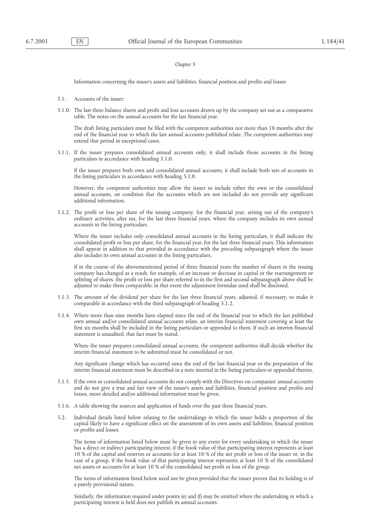### *Chapter 5*

Information concerning the issuer's assets and liabilities, financial position and profits and losses

- 5.1. Accounts of the issuer:
- 5.1.0. The last three balance sheets and profit and loss accounts drawn up by the company set out as a comparative table. The notes on the annual accounts for the last financial year.

The draft listing particulars must be filed with the competent authorities not more than 18 months after the end of the financial year to which the last annual accounts published relate. The competent authorities may extend that period in exceptional cases.

5.1.1. If the issuer prepares consolidated annual accounts only, it shall include those accounts in the listing particulars in accordance with heading 5.1.0.

If the issuer prepares both own and consolidated annual accounts, it shall include both sets of accounts in the listing particulars in accordance with heading 5.1.0.

However, the competent authorities may allow the issuer to include either the own or the consolidated annual accounts, on condition that the accounts which are not included do not provide any significant additional information.

5.1.2. The profit or loss per share of the issuing company, for the financial year, arising out of the company's ordinary activities, after tax, for the last three financial years, where the company includes its own annual accounts in the listing particulars.

Where the issuer includes only consolidated annual accounts in the listing particulars, it shall indicate the consolidated profit or loss per share, for the financial year, for the last three financial years. This information shall appear in addition to that provided in accordance with the preceding subparagraph where the issuer also includes its own annual accounts in the listing particulars.

If in the course of the abovementioned period of three financial years the number of shares in the issuing company has changed as a result, for example, of an increase or decrease in capital or the rearrangement or splitting of shares, the profit or loss per share referred to in the first and second subparagraph above shall be adjusted to make them comparable; in that event the adjustment formulae used shall be disclosed.

- 5.1.3. The amount of the dividend per share for the last three financial years, adjusted, if necessary, to make it comparable in accordance with the third subparagraph of heading 5.1.2.
- 5.1.4. Where more than nine months have elapsed since the end of the financial year to which the last published own annual and/or consolidated annual accounts relate, an interim financial statement covering at least the first six months shall be included in the listing particulars or appended to them. If such an interim financial statement is unaudited, that fact must be stated.

Where the issuer prepares consolidated annual accounts, the competent authorities shall decide whether the interim financial statement to be submitted must be consolidated or not.

Any significant change which has occurred since the end of the last financial year or the preparation of the interim financial statement must be described in a note inserted in the listing particulars or appended thereto.

- 5.1.5. If the own or consolidated annual accounts do not comply with the Directives on companies' annual accounts and do not give a true and fair view of the issuer's assets and liabilities, financial position and profits and losses, more detailed and/or additional information must be given.
- 5.1.6. A table showing the sources and application of funds over the past three financial years.
- 5.2. Individual details listed below relating to the undertakings in which the issuer holds a proportion of the capital likely to have a significant effect on the assessment of its own assets and liabilities, financial position or profits and losses.

The items of information listed below must be given in any event for every undertaking in which the issuer has a direct or indirect participating interest, if the book value of that participating interest represents at least 10 % of the capital and reserves or accounts for at least 10 % of the net profit or loss of the issuer or, in the case of a group, if the book value of that participating interest represents at least 10 % of the consolidated net assets or accounts for at least 10 % of the consolidated net profit or loss of the group.

The items of information listed below need not be given provided that the issuer proves that its holding is of a purely provisional nature.

Similarly, the information required under points (e) and (f) may be omitted where the undertaking in which a participating interest is held does not publish its annual accounts.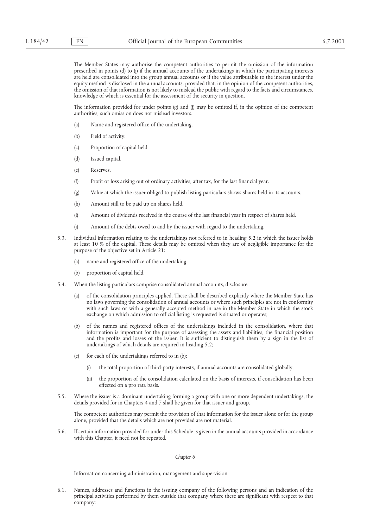The Member States may authorise the competent authorities to permit the omission of the information prescribed in points (d) to (j) if the annual accounts of the undertakings in which the participating interests are held are consolidated into the group annual accounts or if the value attributable to the interest under the equity method is disclosed in the annual accounts, provided that, in the opinion of the competent authorities, the omission of that information is not likely to mislead the public with regard to the facts and circumstances, knowledge of which is essential for the assessment of the security in question.

The information provided for under points  $(q)$  and  $(j)$  may be omitted if, in the opinion of the competent authorities, such omission does not mislead investors.

- (a) Name and registered office of the undertaking.
- (b) Field of activity.
- (c) Proportion of capital held.
- (d) Issued capital.
- (e) Reserves.
- (f) Profit or loss arising out of ordinary activities, after tax, for the last financial year.
- (g) Value at which the issuer obliged to publish listing particulars shows shares held in its accounts.
- (h) Amount still to be paid up on shares held.
- (i) Amount of dividends received in the course of the last financial year in respect of shares held.
- (j) Amount of the debts owed to and by the issuer with regard to the undertaking.
- 5.3. Individual information relating to the undertakings not referred to in heading 5.2 in which the issuer holds at least 10 % of the capital. These details may be omitted when they are of negligible importance for the purpose of the objective set in Article 21:
	- (a) name and registered office of the undertaking;
	- (b) proportion of capital held.
- 5.4. When the listing particulars comprise consolidated annual accounts, disclosure:
	- (a) of the consolidation principles applied. These shall be described explicitly where the Member State has no laws governing the consolidation of annual accounts or where such principles are not in conformity with such laws or with a generally accepted method in use in the Member State in which the stock exchange on which admission to official listing is requested is situated or operates;
	- (b) of the names and registered offices of the undertakings included in the consolidation, where that information is important for the purpose of assessing the assets and liabilities, the financial position and the profits and losses of the issuer. It is sufficient to distinguish them by a sign in the list of undertakings of which details are required in heading 5.2;
	- (c) for each of the undertakings referred to in (b):
		- (i) the total proportion of third-party interests, if annual accounts are consolidated globally;
		- (ii) the proportion of the consolidation calculated on the basis of interests, if consolidation has been effected on a pro rata basis.
- 5.5. Where the issuer is a dominant undertaking forming a group with one or more dependent undertakings, the details provided for in Chapters 4 and 7 shall be given for that issuer and group.

The competent authorities may permit the provision of that information for the issuer alone or for the group alone, provided that the details which are not provided are not material.

5.6. If certain information provided for under this Schedule is given in the annual accounts provided in accordance with this Chapter, it need not be repeated.

### *Chapter 6*

Information concerning administration, management and supervision

6.1. Names, addresses and functions in the issuing company of the following persons and an indication of the principal activities performed by them outside that company where these are significant with respect to that company: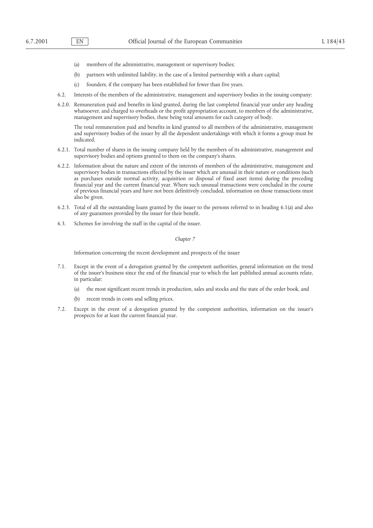- (a) members of the administrative, management or supervisory bodies;
- (b) partners with unlimited liability, in the case of a limited partnership with a share capital;
- (c) founders, if the company has been established for fewer than five years.
- 6.2. Interests of the members of the administrative, management and supervisory bodies in the issuing company:
- 6.2.0. Remuneration paid and benefits in kind granted, during the last completed financial year under any heading whatsoever, and charged to overheads or the profit appropriation account, to members of the administrative, management and supervisory bodies, these being total amounts for each category of body.

The total remuneration paid and benefits in kind granted to all members of the administrative, management and supervisory bodies of the issuer by all the dependent undertakings with which it forms a group must be indicated.

- 6.2.1. Total number of shares in the issuing company held by the members of its administrative, management and supervisory bodies and options granted to them on the company's shares.
- 6.2.2. Information about the nature and extent of the interests of members of the administrative, management and supervisory bodies in transactions effected by the issuer which are unusual in their nature or conditions (such as purchases outside normal activity, acquisition or disposal of fixed asset items) during the preceding financial year and the current financial year. Where such unusual transactions were concluded in the course of previous financial years and have not been definitively concluded, information on those transactions must also be given.
- 6.2.3. Total of all the outstanding loans granted by the issuer to the persons referred to in heading 6.1(a) and also of any guarantees provided by the issuer for their benefit.
- 6.3. Schemes for involving the staff in the capital of the issuer.

### *Chapter 7*

Information concerning the recent development and prospects of the issuer

- 7.1. Except in the event of a derogation granted by the competent authorities, general information on the trend of the issuer's business since the end of the financial year to which the last published annual accounts relate, in particular:
	- (a) the most significant recent trends in production, sales and stocks and the state of the order book, and
	- (b) recent trends in costs and selling prices.
- 7.2. Except in the event of a derogation granted by the competent authorities, information on the issuer's prospects for at least the current financial year.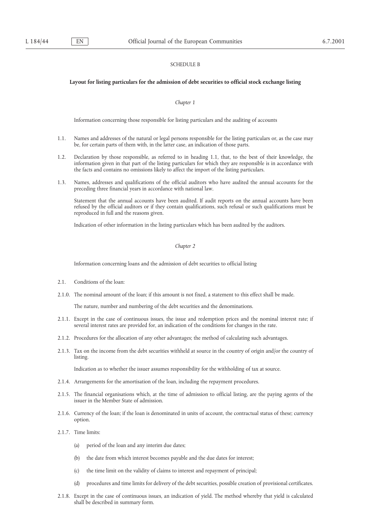### SCHEDULE B

### **Layout for listing particulars for the admission of debt securities to official stock exchange listing**

### *Chapter 1*

Information concerning those responsible for listing particulars and the auditing of accounts

- 1.1. Names and addresses of the natural or legal persons responsible for the listing particulars or, as the case may be, for certain parts of them with, in the latter case, an indication of those parts.
- 1.2. Declaration by those responsible, as referred to in heading 1.1, that, to the best of their knowledge, the information given in that part of the listing particulars for which they are responsible is in accordance with the facts and contains no omissions likely to affect the import of the listing particulars.
- 1.3. Names, addresses and qualifications of the official auditors who have audited the annual accounts for the preceding three financial years in accordance with national law.

Statement that the annual accounts have been audited. If audit reports on the annual accounts have been refused by the official auditors or if they contain qualifications, such refusal or such qualifications must be reproduced in full and the reasons given.

Indication of other information in the listing particulars which has been audited by the auditors.

### *Chapter 2*

Information concerning loans and the admission of debt securities to official listing

- 2.1. Conditions of the loan:
- 2.1.0. The nominal amount of the loan; if this amount is not fixed, a statement to this effect shall be made.

The nature, number and numbering of the debt securities and the denominations.

- 2.1.1. Except in the case of continuous issues, the issue and redemption prices and the nominal interest rate; if several interest rates are provided for, an indication of the conditions for changes in the rate.
- 2.1.2. Procedures for the allocation of any other advantages; the method of calculating such advantages.
- 2.1.3. Tax on the income from the debt securities withheld at source in the country of origin and/or the country of listing.

Indication as to whether the issuer assumes responsibility for the withholding of tax at source.

- 2.1.4. Arrangements for the amortisation of the loan, including the repayment procedures.
- 2.1.5. The financial organisations which, at the time of admission to official listing, are the paying agents of the issuer in the Member State of admission.
- 2.1.6. Currency of the loan; if the loan is denominated in units of account, the contractual status of these; currency option.
- 2.1.7. Time limits:
	- (a) period of the loan and any interim due dates;
	- (b) the date from which interest becomes payable and the due dates for interest;
	- (c) the time limit on the validity of claims to interest and repayment of principal;
	- (d) procedures and time limits for delivery of the debt securities, possible creation of provisional certificates.
- 2.1.8. Except in the case of continuous issues, an indication of yield. The method whereby that yield is calculated shall be described in summary form.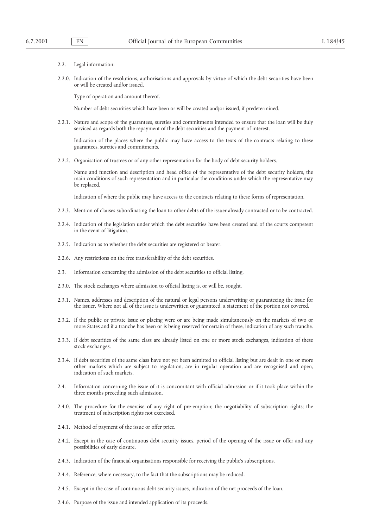- 2.2. Legal information:
- 2.2.0. Indication of the resolutions, authorisations and approvals by virtue of which the debt securities have been or will be created and/or issued.

Type of operation and amount thereof.

Number of debt securities which have been or will be created and/or issued, if predetermined.

2.2.1. Nature and scope of the guarantees, sureties and commitments intended to ensure that the loan will be duly serviced as regards both the repayment of the debt securities and the payment of interest.

Indication of the places where the public may have access to the texts of the contracts relating to these guarantees, sureties and commitments.

2.2.2. Organisation of trustees or of any other representation for the body of debt security holders.

Name and function and description and head office of the representative of the debt security holders, the main conditions of such representation and in particular the conditions under which the representative may be replaced.

Indication of where the public may have access to the contracts relating to these forms of representation.

- 2.2.3. Mention of clauses subordinating the loan to other debts of the issuer already contracted or to be contracted.
- 2.2.4. Indication of the legislation under which the debt securities have been created and of the courts competent in the event of litigation.
- 2.2.5. Indication as to whether the debt securities are registered or bearer.
- 2.2.6. Any restrictions on the free transferability of the debt securities.
- 2.3. Information concerning the admission of the debt securities to official listing.
- 2.3.0. The stock exchanges where admission to official listing is, or will be, sought.
- 2.3.1. Names, addresses and description of the natural or legal persons underwriting or guaranteeing the issue for the issuer. Where not all of the issue is underwritten or guaranteed, a statement of the portion not covered.
- 2.3.2. If the public or private issue or placing were or are being made simultaneously on the markets of two or more States and if a tranche has been or is being reserved for certain of these, indication of any such tranche.
- 2.3.3. If debt securities of the same class are already listed on one or more stock exchanges, indication of these stock exchanges.
- 2.3.4. If debt securities of the same class have not yet been admitted to official listing but are dealt in one or more other markets which are subject to regulation, are in regular operation and are recognised and open, indication of such markets.
- 2.4. Information concerning the issue of it is concomitant with official admission or if it took place within the three months preceding such admission.
- 2.4.0. The procedure for the exercise of any right of pre-emption; the negotiability of subscription rights; the treatment of subscription rights not exercised.
- 2.4.1. Method of payment of the issue or offer price.
- 2.4.2. Except in the case of continuous debt security issues, period of the opening of the issue or offer and any possibilities of early closure.
- 2.4.3. Indication of the financial organisations responsible for receiving the public's subscriptions.
- 2.4.4. Reference, where necessary, to the fact that the subscriptions may be reduced.
- 2.4.5. Except in the case of continuous debt security issues, indication of the net proceeds of the loan.
- 2.4.6. Purpose of the issue and intended application of its proceeds.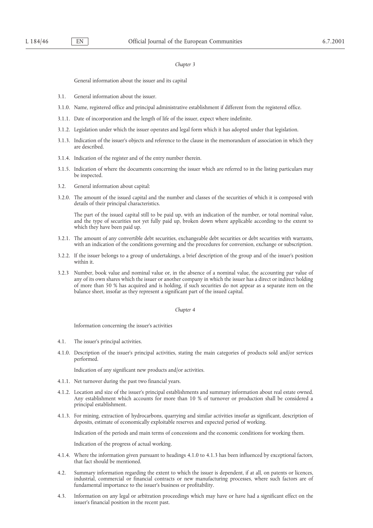### *Chapter 3*

General information about the issuer and its capital

- 3.1. General information about the issuer.
- 3.1.0. Name, registered office and principal administrative establishment if different from the registered office.
- 3.1.1. Date of incorporation and the length of life of the issuer, expect where indefinite.
- 3.1.2. Legislation under which the issuer operates and legal form which it has adopted under that legislation.
- 3.1.3. Indication of the issuer's objects and reference to the clause in the memorandum of association in which they are described.
- 3.1.4. Indication of the register and of the entry number therein.
- 3.1.5. Indication of where the documents concerning the issuer which are referred to in the listing particulars may be inspected.
- 3.2. General information about capital:
- 3.2.0. The amount of the issued capital and the number and classes of the securities of which it is composed with details of their principal characteristics.

The part of the issued capital still to be paid up, with an indication of the number, or total nominal value, and the type of securities not yet fully paid up, broken down where applicable according to the extent to which they have been paid up.

- 3.2.1. The amount of any convertible debt securities, exchangeable debt securities or debt securities with warrants, with an indication of the conditions governing and the procedures for conversion, exchange or subscription.
- 3.2.2. If the issuer belongs to a group of undertakings, a brief description of the group and of the issuer's position within it.
- 3.2.3 Number, book value and nominal value or, in the absence of a nominal value, the accounting par value of any of its own shares which the issuer or another company in which the issuer has a direct or indirect holding of more than 50 % has acquired and is holding, if such securities do not appear as a separate item on the balance sheet, insofar as they represent a significant part of the issued capital.

### *Chapter 4*

Information concerning the issuer's activities

- 4.1. The issuer's principal activities.
- 4.1.0. Description of the issuer's principal activities, stating the main categories of products sold and/or services performed.

Indication of any significant new products and/or activities.

- 4.1.1. Net turnover during the past two financial years.
- 4.1.2. Location and size of the issuer's principal establishments and summary information about real estate owned. Any establishment which accounts for more than 10 % of turnover or production shall be considered a principal establishment.
- 4.1.3. For mining, extraction of hydrocarbons, quarrying and similar activities insofar as significant, description of deposits, estimate of economically exploitable reserves and expected period of working.

Indication of the periods and main terms of concessions and the economic conditions for working them.

Indication of the progress of actual working.

- 4.1.4. Where the information given pursuant to headings 4.1.0 to 4.1.3 has been influenced by exceptional factors, that fact should be mentioned.
- 4.2. Summary information regarding the extent to which the issuer is dependent, if at all, on patents or licences, industrial, commercial or financial contracts or new manufacturing processes, where such factors are of fundamental importance to the issuer's business or profitability.
- 4.3. Information on any legal or arbitration proceedings which may have or have had a significant effect on the issuer's financial position in the recent past.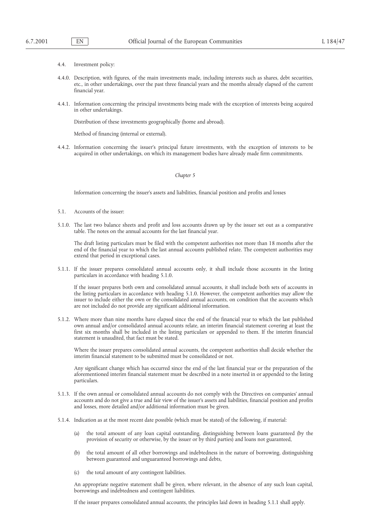- 4.4. Investment policy:
- 4.4.0. Description, with figures, of the main investments made, including interests such as shares, debt securities, etc., in other undertakings, over the past three financial years and the months already elapsed of the current financial year.
- 4.4.1. Information concerning the principal investments being made with the exception of interests being acquired in other undertakings.

Distribution of these investments geographically (home and abroad).

Method of financing (internal or external).

4.4.2. Information concerning the issuer's principal future investments, with the exception of interests to be acquired in other undertakings, on which its management bodies have already made firm commitments.

### *Chapter 5*

Information concerning the issuer's assets and liabilities, financial position and profits and losses

- 5.1. Accounts of the issuer:
- 5.1.0. The last two balance sheets and profit and loss accounts drawn up by the issuer set out as a comparative table. The notes on the annual accounts for the last financial year.

The draft listing particulars must be filed with the competent authorities not more than 18 months after the end of the financial year to which the last annual accounts published relate. The competent authorities may extend that period in exceptional cases.

5.1.1. If the issuer prepares consolidated annual accounts only, it shall include those accounts in the listing particulars in accordance with heading 5.1.0.

If the issuer prepares both own and consolidated annual accounts, it shall include both sets of accounts in the listing particulars in accordance with heading 5.1.0. However, the competent authorities may allow the issuer to include either the own or the consolidated annual accounts, on condition that the accounts which are not included do not provide any significant additional information.

5.1.2. Where more than nine months have elapsed since the end of the financial year to which the last published own annual and/or consolidated annual accounts relate, an interim financial statement covering at least the first six months shall be included in the listing particulars or appended to them. If the interim financial statement is unaudited, that fact must be stated.

Where the issuer prepares consolidated annual accounts, the competent authorities shall decide whether the interim financial statement to be submitted must be consolidated or not.

Any significant change which has occurred since the end of the last financial year or the preparation of the aforementioned interim financial statement must be described in a note inserted in or appended to the listing particulars.

- 5.1.3. If the own annual or consolidated annual accounts do not comply with the Directives on companies' annual accounts and do not give a true and fair view of the issuer's assets and liabilities, financial position and profits and losses, more detailed and/or additional information must be given.
- 5.1.4. Indication as at the most recent date possible (which must be stated) of the following, if material:
	- (a) the total amount of any loan capital outstanding, distinguishing between loans guaranteed (by the provision of security or otherwise, by the issuer or by third parties) and loans not guaranteed,
	- (b) the total amount of all other borrowings and indebtedness in the nature of borrowing, distinguishing between guaranteed and unguaranteed borrowings and debts,
	- (c) the total amount of any contingent liabilities.

An appropriate negative statement shall be given, where relevant, in the absence of any such loan capital, borrowings and indebtedness and contingent liabilities.

If the issuer prepares consolidated annual accounts, the principles laid down in heading 5.1.1 shall apply.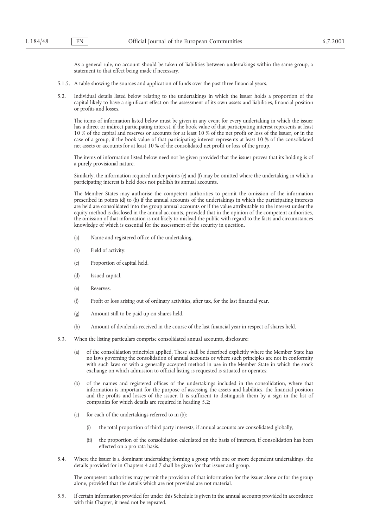As a general rule, no account should be taken of liabilities between undertakings within the same group, a statement to that effect being made if necessary.

- 5.1.5. A table showing the sources and application of funds over the past three financial years.
- 5.2. Individual details listed below relating to the undertakings in which the issuer holds a proportion of the capital likely to have a significant effect on the assessment of its own assets and liabilities, financial position or profits and losses.

The items of information listed below must be given in any event for every undertaking in which the issuer has a direct or indirect participating interest, if the book value of that participating interest represents at least 10 % of the capital and reserves or accounts for at least 10 % of the net profit or loss of the issuer, or in the case of a group, if the book value of that participating interest represents at least 10 % of the consolidated net assets or accounts for at least 10 % of the consolidated net profit or loss of the group.

The items of information listed below need not be given provided that the issuer proves that its holding is of a purely provisional nature.

Similarly, the information required under points (e) and (f) may be omitted where the undertaking in which a participating interest is held does not publish its annual accounts.

The Member States may authorise the competent authorities to permit the omission of the information prescribed in points (d) to (h) if the annual accounts of the undertakings in which the participating interests are held are consolidated into the group annual accounts or if the value attributable to the interest under the equity method is disclosed in the annual accounts, provided that in the opinion of the competent authorities, the omission of that information is not likely to mislead the public with regard to the facts and circumstances knowledge of which is essential for the assessment of the security in question.

- (a) Name and registered office of the undertaking.
- (b) Field of activity.
- (c) Proportion of capital held.
- (d) Issued capital.
- (e) Reserves.
- (f) Profit or loss arising out of ordinary activities, after tax, for the last financial year.
- (g) Amount still to be paid up on shares held.
- (h) Amount of dividends received in the course of the last financial year in respect of shares held.
- 5.3. When the listing particulars comprise consolidated annual accounts, disclosure:
	- (a) of the consolidation principles applied. These shall be described explicitly where the Member State has no laws governing the consolidation of annual accounts or where such principles are not in conformity with such laws or with a generally accepted method in use in the Member State in which the stock exchange on which admission to official listing is requested is situated or operates;
	- (b) of the names and registered offices of the undertakings included in the consolidation, where that information is important for the purpose of assessing the assets and liabilities, the financial position and the profits and losses of the issuer. It is sufficient to distinguish them by a sign in the list of companies for which details are required in heading 5.2;
	- (c) for each of the undertakings referred to in (b):
		- (i) the total proportion of third party interests, if annual accounts are consolidated globally,
		- (ii) the proportion of the consolidation calculated on the basis of interests, if consolidation has been effected on a pro rata basis.
- 5.4. Where the issuer is a dominant undertaking forming a group with one or more dependent undertakings, the details provided for in Chapters 4 and 7 shall be given for that issuer and group.

The competent authorities may permit the provision of that information for the issuer alone or for the group alone, provided that the details which are not provided are not material.

5.5. If certain information provided for under this Schedule is given in the annual accounts provided in accordance with this Chapter, it need not be repeated.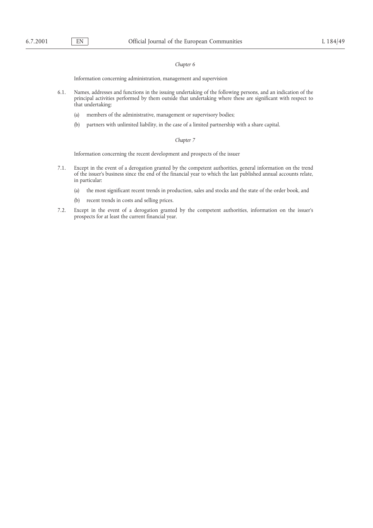### *Chapter 6*

Information concerning administration, management and supervision

- 6.1. Names, addresses and functions in the issuing undertaking of the following persons, and an indication of the principal activities performed by them outside that undertaking where these are significant with respect to that undertaking:
	- (a) members of the administrative, management or supervisory bodies;
	- (b) partners with unlimited liability, in the case of a limited partnership with a share capital.

### *Chapter 7*

Information concerning the recent development and prospects of the issuer

- 7.1. Except in the event of a derogation granted by the competent authorities, general information on the trend of the issuer's business since the end of the financial year to which the last published annual accounts relate, in particular:
	- (a) the most significant recent trends in production, sales and stocks and the state of the order book, and
	- (b) recent trends in costs and selling prices.
- 7.2. Except in the event of a derogation granted by the competent authorities, information on the issuer's prospects for at least the current financial year.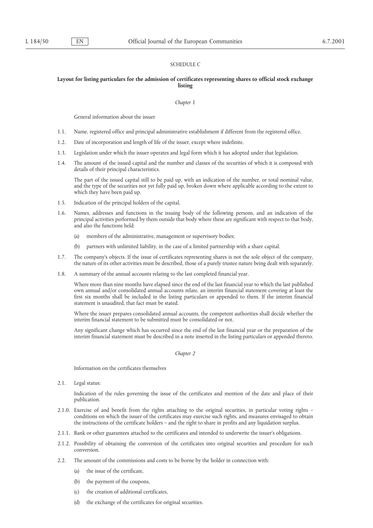### SCHEDULE C

### **Layout for listing particulars for the admission of certificates representing shares to official stock exchange listing**

### *Chapter 1*

General information about the issuer

- 1.1. Name, registered office and principal administrative establishment if different from the registered office.
- 1.2. Date of incorporation and length of life of the issuer, except where indefinite.
- 1.3. Legislation under which the issuer operates and legal form which it has adopted under that legislation.
- 1.4. The amount of the issued capital and the number and classes of the securities of which it is composed with details of their principal characteristics.

The part of the issued capital still to be paid up, with an indication of the number, or total nominal value, and the type of the securities not yet fully paid up, broken down where applicable according to the extent to which they have been paid up.

- 1.5. Indication of the principal holders of the capital.
- 1.6. Names, addresses and functions in the issuing body of the following persons, and an indication of the principal activities performed by them outside that body where these are significant with respect to that body, and also the functions held:
	- (a) members of the administrative, management or supervisory bodies;
	- (b) partners with unlimited liability, in the case of a limited partnership with a share capital.
- 1.7. The company's objects. If the issue of certificates representing shares is not the sole object of the company, the nature of its other activities must be described, those of a purely trustee nature being dealt with separately.
- 1.8. A summary of the annual accounts relating to the last completed financial year.

Where more than nine months have elapsed since the end of the last financial year to which the last published own annual and/or consolidated annual accounts relate, an interim financial statement covering at least the first six months shall be included in the listing particulars or appended to them. If the interim financial statement is unaudited, that fact must be stated.

Where the issuer prepares consolidated annual accounts, the competent authorities shall decide whether the interim financial statement to be submitted must be consolidated or not.

Any significant change which has occurred since the end of the last financial year or the preparation of the interim financial statement must be described in a note inserted in the listing particulars or appended thereto.

### *Chapter 2*

Information on the certificates themselves

2.1. Legal status:

Indication of the rules governing the issue of the certificates and mention of the date and place of their publication.

- 2.1.0. Exercise of and benefit from the rights attaching to the original securities, in particular voting rights conditions on which the issuer of the certificates may exercise such rights, and measures envisaged to obtain the instructions of the certificate holders – and the right to share in profits and any liquidation surplus.
- 2.1.1. Bank or other guarantees attached to the certificates and intended to underwrite the issuer's obligations.
- 2.1.2. Possibility of obtaining the conversion of the certificates into original securities and procedure for such conversion.
- 2.2. The amount of the commissions and costs to be borne by the holder in connection with:
	- (a) the issue of the certificate,
	- (b) the payment of the coupons,
	- (c) the creation of additional certificates,
	- (d) the exchange of the certificates for original securities.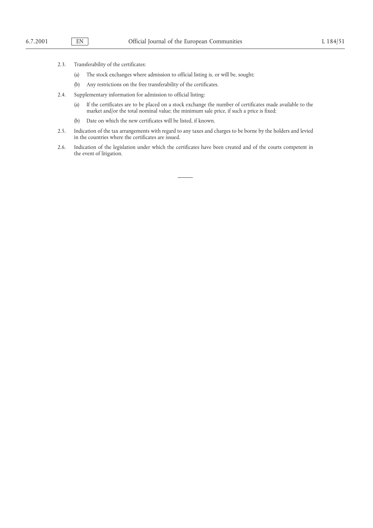- 2.3. Transferability of the certificates:
	- (a) The stock exchanges where admission to official listing is, or will be, sought;
	- (b) Any restrictions on the free transferability of the certificates.
- 2.4. Supplementary information for admission to official listing:
	- (a) If the certificates are to be placed on a stock exchange the number of certificates made available to the market and/or the total nominal value; the minimum sale price, if such a price is fixed;
	- (b) Date on which the new certificates will be listed, if known.
- 2.5. Indication of the tax arrangements with regard to any taxes and charges to be borne by the holders and levied in the countries where the certificates are issued.
- 2.6. Indication of the legislation under which the certificates have been created and of the courts competent in the event of litigation.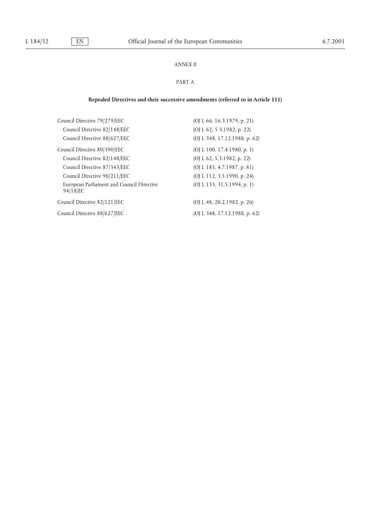### *ANNEX II*

### PART A

### **Repealed Directives and their successive amendments (referred to in Article 111)**

| Council Directive 79/279/EEC                          | [O] L 66, 16.3.1979, p. 21]   |
|-------------------------------------------------------|-------------------------------|
| Council Directive 82/148/EEC                          | (OJ L 62, 5 3.1982, p. 22)    |
| Council Directive 88/627/EEC                          | (OJ L 348, 17.12.1988, p. 62) |
| Council Directive 80/390/EEC                          | (OJ L 100, 17.4.1980, p. 1)   |
| Council Directive 82/148/EEC                          | (OJ L 62, 5.3.1982, p. 22)    |
| Council Directive 87/345/EEC                          | (OJ L 185, 4.7.1987, p. 81)   |
| Council Directive 90/211/EEC                          | (OJ L 112, 3.5.1990, p. 24)   |
| European Parliament and Council Directive<br>94/18/EC | (OJ L 135, 31.5.1994, p. 1)   |
| Council Directive 82/121/EEC                          | (OJ L 48, 20.2.1982, p. 26)   |
| Council Directive 88/627/EEC                          | (OJ L 348, 17.12.1988, p. 62) |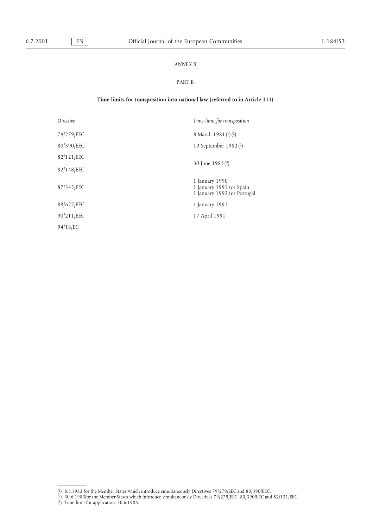### *ANNEX II*

### PART B

### **Time-limits for transposition into national law (referred to in Article 111)**

| Directive  | Time-limit for transposition                                              |
|------------|---------------------------------------------------------------------------|
| 79/279/EEC | 8 March 1981 (1) (2)                                                      |
| 80/390/EEC | 19 September 1982(2)                                                      |
| 82/121/EEC | 30 June $1983(3)$                                                         |
| 82/148/EEC |                                                                           |
| 87/345/EEC | 1 January 1990<br>1 January 1991 for Spain<br>1 January 1992 for Portugal |
| 88/627/EEC | 1 January 1991                                                            |
| 90/211/EEC | 17 April 1991                                                             |
| 94/18/EC   |                                                                           |

<sup>(1) 8.3.1982</sup> for the Member States which introduce simultaneously Directives 79/279/EEC and 80/390/EEC.

<sup>(</sup> 2) 30.6.1983for the Member States which introduce simultaneously Directives 79/279/EEC, 80/390/EEC and 82/121/EEC.

<sup>(3)</sup> Time-limit for application: 30.6.1986.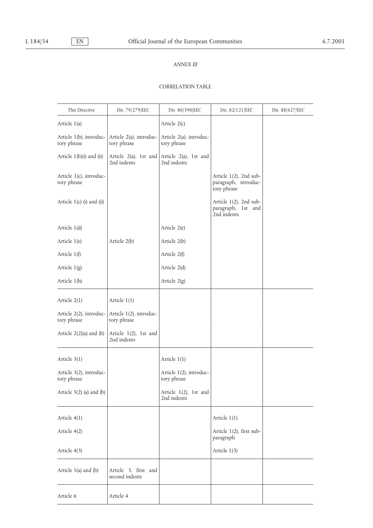### *ANNEX III*

### CORRELATION TABLE

| This Directive                         | Dir. 79/279/EEC                        | Dir. 80/390/EEC                        | Dir. 82/121/EEC                                               | Dir. 88/627/EEC |
|----------------------------------------|----------------------------------------|----------------------------------------|---------------------------------------------------------------|-----------------|
| Article 1(a)                           |                                        | Article 2(c)                           |                                                               |                 |
| Article 1(b), introduc-<br>tory phrase | Article 2(a), introduc-<br>tory phrase | Article 2(a), introduc-<br>tory phrase |                                                               |                 |
| Article $1(b)(i)$ and $(ii)$           | Article 2(a), 1st and<br>2nd indents   | Article 2(a), 1st and<br>2nd indents   |                                                               |                 |
| Article 1(c), introduc-<br>tory phrase |                                        |                                        | Article 1(2), 2nd sub-<br>paragraph, introduc-<br>tory phrase |                 |
| Article 1(c) (i) and (ii)              |                                        |                                        | Article 1(2), 2nd sub-<br>paragraph, 1st and<br>2nd indents   |                 |
| Article 1(d)                           |                                        | Article 2(e)                           |                                                               |                 |
| Article 1(e)                           | Article 2(b)                           | Article 2(b)                           |                                                               |                 |
| Article 1(f)                           |                                        | Article 2(f)                           |                                                               |                 |
| Article $1(g)$                         |                                        | Article 2(d)                           |                                                               |                 |
| Article 1(h)                           |                                        | Article 2(g)                           |                                                               |                 |
| Article $2(1)$                         | Article $1(1)$                         |                                        |                                                               |                 |
| Article 2(2), introduc-<br>tory phrase | Article 1(2), introduc-<br>tory phrase |                                        |                                                               |                 |
| Article $2(2)(a)$ and $(b)$            | Article 1(2), 1st and<br>2nd indents   |                                        |                                                               |                 |
| Article $3(1)$                         |                                        | Article 1(1)                           |                                                               |                 |
| Article 3(2), introduc-<br>tory phrase |                                        | Article 1(2), introduc-<br>tory phrase |                                                               |                 |
| Article $3(2)$ (a) and (b)             |                                        | Article 1(2), 1st and<br>2nd indents   |                                                               |                 |
| Article 4(1)                           |                                        |                                        | Article 1(1)                                                  |                 |
| Article 4(2)                           |                                        |                                        | Article 1(2), first sub-<br>paragraph                         |                 |
| Article 4(3)                           |                                        |                                        | Article 1(3)                                                  |                 |
| Article $5(a)$ and $(b)$               | Article 3, first and<br>second indents |                                        |                                                               |                 |
| Article 6                              | Article 4                              |                                        |                                                               |                 |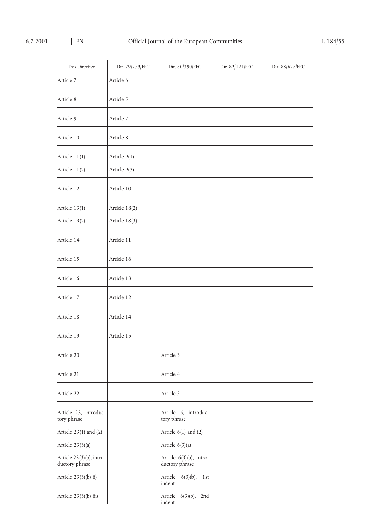| This Directive                             | Dir. 79/279/EEC | Dir. 80/390/EEC                              | Dir. 82/121/EEC | Dir. 88/627/EEC |
|--------------------------------------------|-----------------|----------------------------------------------|-----------------|-----------------|
| Article 7                                  | Article 6       |                                              |                 |                 |
| Article 8                                  | Article 5       |                                              |                 |                 |
| Article 9                                  | Article 7       |                                              |                 |                 |
| Article 10                                 | Article 8       |                                              |                 |                 |
| Article 11(1)                              | Article 9(1)    |                                              |                 |                 |
| Article 11(2)                              | Article 9(3)    |                                              |                 |                 |
| Article 12                                 | Article 10      |                                              |                 |                 |
| Article 13(1)                              | Article 18(2)   |                                              |                 |                 |
| Article 13(2)                              | Article 18(3)   |                                              |                 |                 |
| Article 14                                 | Article 11      |                                              |                 |                 |
| Article 15                                 | Article 16      |                                              |                 |                 |
| Article 16                                 | Article 13      |                                              |                 |                 |
| Article 17                                 | Article 12      |                                              |                 |                 |
| Article 18                                 | Article 14      |                                              |                 |                 |
| Article 19                                 | Article 15      |                                              |                 |                 |
| Article 20                                 |                 | Article 3                                    |                 |                 |
| Article 21                                 |                 | Article 4                                    |                 |                 |
| Article 22                                 |                 | Article 5                                    |                 |                 |
| Article 23, introduc-<br>tory phrase       |                 | Article 6, introduc-<br>tory phrase          |                 |                 |
| Article $23(1)$ and $(2)$                  |                 | Article $6(1)$ and $(2)$                     |                 |                 |
| Article $23(3)(a)$                         |                 | Article $6(3)(a)$                            |                 |                 |
| Article 23(3)(b), intro-<br>ductory phrase |                 | Article $6(3)(b)$ , intro-<br>ductory phrase |                 |                 |
| Article 23(3)(b) (i)                       |                 | Article $6(3)(b)$ ,<br>1st<br>indent         |                 |                 |
| Article 23(3)(b) (ii)                      |                 | Article $6(3)(b)$ , 2nd<br>indent            |                 |                 |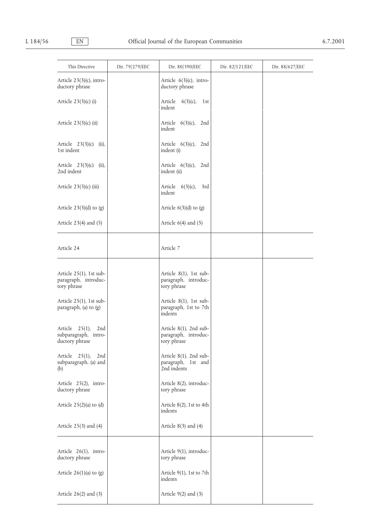| This Directive                                                                 | Dir. 79/279/EEC | Dir. 80/390/EEC                                                  | Dir. 82/121/EEC | Dir. 88/627/EEC |
|--------------------------------------------------------------------------------|-----------------|------------------------------------------------------------------|-----------------|-----------------|
| Article $23(3)(c)$ , intro-<br>ductory phrase                                  |                 | Article $6(3)(c)$ , intro-<br>ductory phrase                     |                 |                 |
| Article 23(3)(c) (i)                                                           |                 | Article<br>$6(3)(c)$ , 1st<br>indent                             |                 |                 |
| Article $23(3)(c)$ (ii)                                                        |                 | Article $6(3)(c)$ , 2nd<br>indent                                |                 |                 |
| Article 23(3)(c) (ii),<br>1st indent                                           |                 | Article $6(3)(c)$ , 2nd<br>indent (i)                            |                 |                 |
| Article $23(3)(c)$<br>(ii),<br>2nd indent                                      |                 | Article $6(3)(c)$ , 2nd<br>indent (ii)                           |                 |                 |
| Article $23(3)(c)$ (iii)                                                       |                 | Article $6(3)(c)$ , 3rd<br>indent                                |                 |                 |
| Article $23(3)(d)$ to $(g)$                                                    |                 | Article $6(3)(d)$ to $(g)$                                       |                 |                 |
| Article $23(4)$ and $(5)$                                                      |                 | Article $6(4)$ and $(5)$                                         |                 |                 |
| Article 24                                                                     |                 | Article 7                                                        |                 |                 |
| Article 25(1), 1st sub-<br>paragraph, introduc-<br>tory phrase                 |                 | Article 8(1), 1st sub-<br>paragraph, introduc-<br>tory phrase    |                 |                 |
| Article 25(1), 1st sub-<br>paragraph, (a) to (g)                               |                 | Article 8(1), 1st sub-<br>paragraph, 1st to 7th<br>indents       |                 |                 |
| Article $25(1)$ ,<br>2 <sub>nd</sub><br>subparagraph, intro-<br>ductory phrase |                 | Article $8(1)$ , 2nd sub-<br>paragraph, introduc-<br>tory phrase |                 |                 |
| Article $25(1)$ ,<br>2nd<br>subparagraph, (a) and<br>(b)                       |                 | Article 8(1), 2nd sub-<br>paragraph, 1st and<br>2nd indents      |                 |                 |
| Article 25(2), intro-<br>ductory phrase                                        |                 | Article 8(2), introduc-<br>tory phrase                           |                 |                 |
| Article $25(2)(a)$ to $(d)$                                                    |                 | Article $8(2)$ , 1st to 4th<br>indents                           |                 |                 |
| Article $25(3)$ and $(4)$                                                      |                 | Article $8(3)$ and $(4)$                                         |                 |                 |
| Article 26(1), intro-<br>ductory phrase                                        |                 | Article 9(1), introduc-<br>tory phrase                           |                 |                 |
| Article $26(1)(a)$ to $(g)$                                                    |                 | Article $9(1)$ , 1st to 7th<br>indents                           |                 |                 |
| Article $26(2)$ and $(3)$                                                      |                 | Article $9(2)$ and $(3)$                                         |                 |                 |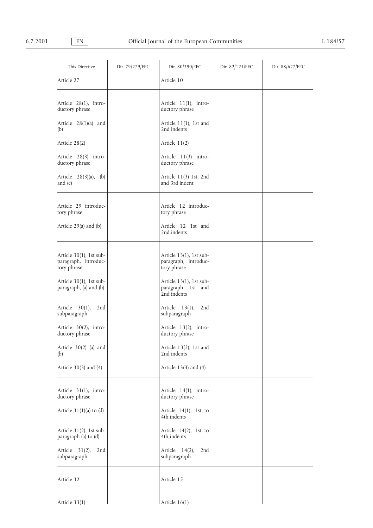| This Directive                                                    | Dir. 79/279/EEC | Dir. 80/390/EEC                                                      | Dir. 82/121/EEC | Dir. 88/627/EEC |
|-------------------------------------------------------------------|-----------------|----------------------------------------------------------------------|-----------------|-----------------|
| Article 27                                                        |                 | Article 10                                                           |                 |                 |
| Article 28(1), intro-<br>ductory phrase<br>Article 28(1)(a) and   |                 | Article 11(1), intro-<br>ductory phrase<br>Article $11(1)$ , 1st and |                 |                 |
| (b)                                                               |                 | 2nd indents                                                          |                 |                 |
| Article 28(2)                                                     |                 | Article $11(2)$                                                      |                 |                 |
| Article 28(3) intro-<br>ductory phrase                            |                 | Article 11(3) intro-<br>ductory phrase                               |                 |                 |
| Article $28(3)(a)$ , (b)<br>and $(c)$                             |                 | Article 11(3) 1st, 2nd<br>and 3rd indent                             |                 |                 |
| Article 29 introduc-<br>tory phrase                               |                 | Article 12 introduc-<br>tory phrase                                  |                 |                 |
| Article $29(a)$ and $(b)$                                         |                 | Article 12 1st and<br>2nd indents                                    |                 |                 |
| Article $30(1)$ , 1st sub-<br>paragraph, introduc-<br>tory phrase |                 | Article 13(1), 1st sub-<br>paragraph, introduc-<br>tory phrase       |                 |                 |
| Article $30(1)$ , 1st sub-<br>paragraph, (a) and (b)              |                 | Article $13(1)$ , 1st sub-<br>paragraph, 1st and<br>2nd indents      |                 |                 |
| Article $30(1)$ ,<br>2nd<br>subparagraph                          |                 | Article $13(1)$ ,<br>2 <sub>nd</sub><br>subparagraph                 |                 |                 |
| Article $30(2)$ , intro-<br>ductory phrase                        |                 | Article 13(2), intro-<br>ductory phrase                              |                 |                 |
| Article $30(2)$ (a) and<br>(b)                                    |                 | Article 13(2), 1st and<br>2nd indents                                |                 |                 |
| Article $30(3)$ and $(4)$                                         |                 | Article $13(3)$ and $(4)$                                            |                 |                 |
| Article 31(1), intro-<br>ductory phrase                           |                 | Article 14(1), intro-<br>ductory phrase                              |                 |                 |
| Article $31(1)(a)$ to $(d)$                                       |                 | Article $14(1)$ , 1st to<br>4th indents                              |                 |                 |
| Article $31(2)$ , 1st sub-<br>paragraph (a) to (d)                |                 | Article $14(2)$ , 1st to<br>4th indents                              |                 |                 |
| Article $31(2)$ ,<br>2nd<br>subparagraph                          |                 | Article $14(2)$ ,<br>2nd<br>subparagraph                             |                 |                 |
| Article 32                                                        |                 | Article 15                                                           |                 |                 |
| Article $33(1)$                                                   |                 | Article 16(1)                                                        |                 |                 |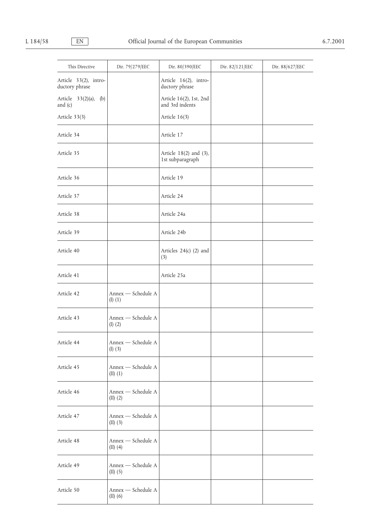| This Directive                          | Dir. 79/279/EEC                    | Dir. 80/390/EEC                                 | Dir. 82/121/EEC | Dir. 88/627/EEC |
|-----------------------------------------|------------------------------------|-------------------------------------------------|-----------------|-----------------|
| Article 33(2), intro-<br>ductory phrase |                                    | Article 16(2), intro-<br>ductory phrase         |                 |                 |
| Article $33(2)(a)$ , (b)<br>and $(c)$   |                                    | Article 16(2), 1st, 2nd<br>and 3rd indents      |                 |                 |
| Article 33(3)                           |                                    | Article $16(3)$                                 |                 |                 |
| Article 34                              |                                    | Article 17                                      |                 |                 |
| Article 35                              |                                    | Article $18(2)$ and $(3)$ ,<br>1st subparagraph |                 |                 |
| Article 36                              |                                    | Article 19                                      |                 |                 |
| Article 37                              |                                    | Article 24                                      |                 |                 |
| Article 38                              |                                    | Article 24a                                     |                 |                 |
| Article 39                              |                                    | Article 24b                                     |                 |                 |
| Article 40                              |                                    | Articles $24(c)$ (2) and<br>(3)                 |                 |                 |
| Article 41                              |                                    | Article 25a                                     |                 |                 |
| Article 42                              | Annex - Schedule A<br>$(I)$ $(1)$  |                                                 |                 |                 |
| Article 43                              | Annex - Schedule A<br>$(I)$ $(2)$  |                                                 |                 |                 |
| Article 44                              | Annex - Schedule A<br>$(I)$ $(3)$  |                                                 |                 |                 |
| Article 45                              | Annex — Schedule A<br>$(II)$ $(1)$ |                                                 |                 |                 |
| Article 46                              | Annex — Schedule A<br>$(II)$ $(2)$ |                                                 |                 |                 |
| Article 47                              | Annex - Schedule A<br>$(II)$ $(3)$ |                                                 |                 |                 |
| Article 48                              | Annex — Schedule A<br>$(II)$ $(4)$ |                                                 |                 |                 |
| Article 49                              | Annex - Schedule A<br>$(II)$ $(5)$ |                                                 |                 |                 |
| Article 50                              | Annex - Schedule A<br>$(II)$ $(6)$ |                                                 |                 |                 |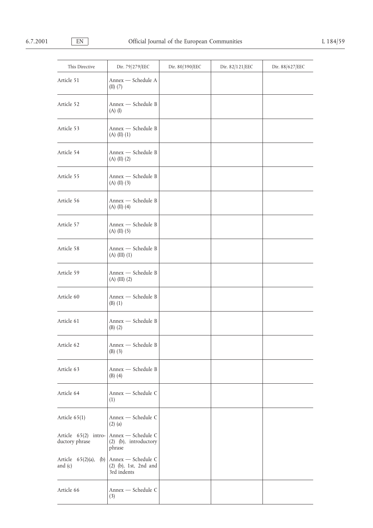| This Directive                           | Dir. 79/279/EEC                                            | Dir. 80/390/EEC | Dir. 82/121/EEC | Dir. 88/627/EEC |
|------------------------------------------|------------------------------------------------------------|-----------------|-----------------|-----------------|
| Article 51                               | Annex - Schedule A<br>$(II)$ $(7)$                         |                 |                 |                 |
| Article 52                               | Annex - Schedule B<br>$(A)$ (I)                            |                 |                 |                 |
| Article 53                               | Annex - Schedule B<br>$(A)$ (II) $(1)$                     |                 |                 |                 |
| Article 54                               | Annex - Schedule B<br>$(A)$ (II) $(2)$                     |                 |                 |                 |
| Article 55                               | Annex - Schedule B<br>$(A)$ (II) $(3)$                     |                 |                 |                 |
| Article 56                               | Annex - Schedule B<br>$(A)$ (II) $(4)$                     |                 |                 |                 |
| Article 57                               | Annex - Schedule B<br>$(A)$ (II) (5)                       |                 |                 |                 |
| Article 58                               | Annex - Schedule B<br>$(A)$ (III) $(1)$                    |                 |                 |                 |
| Article 59                               | Annex - Schedule B<br>$(A)$ (III) $(2)$                    |                 |                 |                 |
| Article 60                               | Annex - Schedule B<br>$(B)$ $(1)$                          |                 |                 |                 |
| Article 61                               | Annex - Schedule B<br>$(B)$ $(2)$                          |                 |                 |                 |
| Article 62                               | Annex - Schedule B<br>$(B)$ $(3)$                          |                 |                 |                 |
| Article 63                               | Annex — Schedule B<br>$(B)$ $(4)$                          |                 |                 |                 |
| Article 64                               | Annex - Schedule C<br>(1)                                  |                 |                 |                 |
| Article $65(1)$                          | Annex - Schedule C<br>$(2)$ (a)                            |                 |                 |                 |
| Article 65(2) intro-<br>ductory phrase   | Annex - Schedule C<br>(2) (b), introductory<br>phrase      |                 |                 |                 |
| Article $65(2)(a)$ ,<br>(b)<br>and $(c)$ | Annex — Schedule C<br>(2) (b), 1st, 2nd and<br>3rd indents |                 |                 |                 |
| Article 66                               | Annex - Schedule C<br>(3)                                  |                 |                 |                 |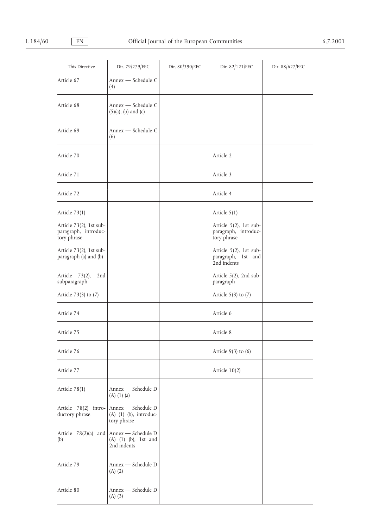| This Directive                                                 | Dir. 79/279/EEC                                                                | Dir. 80/390/EEC | Dir. 82/121/EEC                                               | Dir. 88/627/EEC |
|----------------------------------------------------------------|--------------------------------------------------------------------------------|-----------------|---------------------------------------------------------------|-----------------|
| Article 67                                                     | Annex — Schedule C<br>(4)                                                      |                 |                                                               |                 |
| Article 68                                                     | Annex - Schedule C<br>$(5)(a)$ , $(b)$ and $(c)$                               |                 |                                                               |                 |
| Article 69                                                     | Annex — Schedule C<br>(6)                                                      |                 |                                                               |                 |
| Article 70                                                     |                                                                                |                 | Article 2                                                     |                 |
| Article 71                                                     |                                                                                |                 | Article 3                                                     |                 |
| Article 72                                                     |                                                                                |                 | Article 4                                                     |                 |
| Article 73(1)                                                  |                                                                                |                 | Article 5(1)                                                  |                 |
| Article 73(2), 1st sub-<br>paragraph, introduc-<br>tory phrase |                                                                                |                 | Article 5(2), 1st sub-<br>paragraph, introduc-<br>tory phrase |                 |
| Article 73(2), 1st sub-<br>paragraph (a) and (b)               |                                                                                |                 | Article 5(2), 1st sub-<br>paragraph, 1st and<br>2nd indents   |                 |
| Article 73(2),<br>2 <sub>nd</sub><br>subparagraph              |                                                                                |                 | Article 5(2), 2nd sub-<br>paragraph                           |                 |
| Article 73(3) to (7)                                           |                                                                                |                 | Article $5(3)$ to $(7)$                                       |                 |
| Article 74                                                     |                                                                                |                 | Article 6                                                     |                 |
| Article 75                                                     |                                                                                |                 | Article 8                                                     |                 |
| Article 76                                                     |                                                                                |                 | Article $9(3)$ to $(6)$                                       |                 |
| Article 77                                                     |                                                                                |                 | Article $10(2)$                                               |                 |
| Article 78(1)                                                  | Annex - Schedule D<br>$(A)$ $(1)$ $(a)$                                        |                 |                                                               |                 |
| Article 78(2) intro-<br>ductory phrase                         | Annex - Schedule D<br>$(A)$ $(1)$ $(b)$ , introduc-<br>tory phrase             |                 |                                                               |                 |
| (b)                                                            | Article 78(2)(a) and Annex - Schedule D<br>(A) (1) (b), 1st and<br>2nd indents |                 |                                                               |                 |
| Article 79                                                     | Annex - Schedule D<br>$(A)$ $(2)$                                              |                 |                                                               |                 |
| Article 80                                                     | Annex - Schedule D<br>$(A)$ $(3)$                                              |                 |                                                               |                 |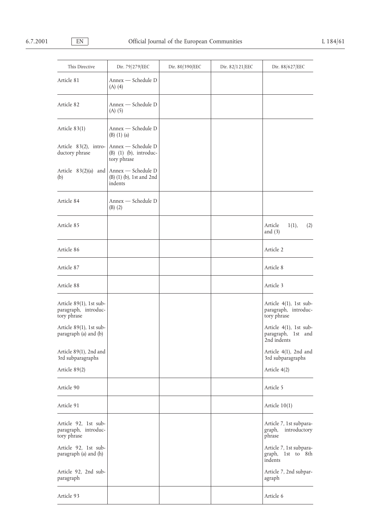| This Directive                                                 | Dir. 79/279/EEC                                             | Dir. 80/390/EEC | Dir. 82/121/EEC | Dir. 88/627/EEC                                                |
|----------------------------------------------------------------|-------------------------------------------------------------|-----------------|-----------------|----------------------------------------------------------------|
| Article 81                                                     | Annex — Schedule D<br>$(A)$ $(4)$                           |                 |                 |                                                                |
| Article 82                                                     | Annex - Schedule D<br>$(A)$ $(5)$                           |                 |                 |                                                                |
| Article 83(1)                                                  | Annex — Schedule D<br>$(B)$ $(1)$ $(a)$                     |                 |                 |                                                                |
| Article $83(2)$ , intro-<br>ductory phrase                     | Annex — Schedule D<br>(B) (1) (b), introduc-<br>tory phrase |                 |                 |                                                                |
| Article $83(2)(a)$ and<br>(b)                                  | Annex - Schedule D<br>(B) (1) (b), 1st and 2nd<br>indents   |                 |                 |                                                                |
| Article 84                                                     | Annex - Schedule D<br>$(B)$ $(2)$                           |                 |                 |                                                                |
| Article 85                                                     |                                                             |                 |                 | Article<br>1(1),<br>(2)<br>and $(3)$                           |
| Article 86                                                     |                                                             |                 |                 | Article 2                                                      |
| Article 87                                                     |                                                             |                 |                 | Article 8                                                      |
| Article 88                                                     |                                                             |                 |                 | Article 3                                                      |
| Article 89(1), 1st sub-<br>paragraph, introduc-<br>tory phrase |                                                             |                 |                 | Article 4(1), 1st sub-<br>paragraph, introduc-<br>tory phrase  |
| Article 89(1), 1st sub-<br>paragraph (a) and (b)               |                                                             |                 |                 | Article $4(1)$ , 1st sub-<br>paragraph, 1st and<br>2nd indents |
| Article 89(1), 2nd and<br>3rd subparagraphs                    |                                                             |                 |                 | Article 4(1), 2nd and<br>3rd subparagraphs                     |
| Article 89(2)                                                  |                                                             |                 |                 | Article 4(2)                                                   |
| Article 90                                                     |                                                             |                 |                 | Article 5                                                      |
| Article 91                                                     |                                                             |                 |                 | Article 10(1)                                                  |
| Article 92, 1st sub-<br>paragraph, introduc-<br>tory phrase    |                                                             |                 |                 | Article 7, 1st subpara-<br>graph,<br>introductory<br>phrase    |
| Article 92, 1st sub-<br>paragraph (a) and (h)                  |                                                             |                 |                 | Article 7, 1st subpara-<br>graph, 1st to 8th<br>indents        |
| Article 92, 2nd sub-<br>paragraph                              |                                                             |                 |                 | Article 7, 2nd subpar-<br>agraph                               |
| Article 93                                                     |                                                             |                 |                 | Article 6                                                      |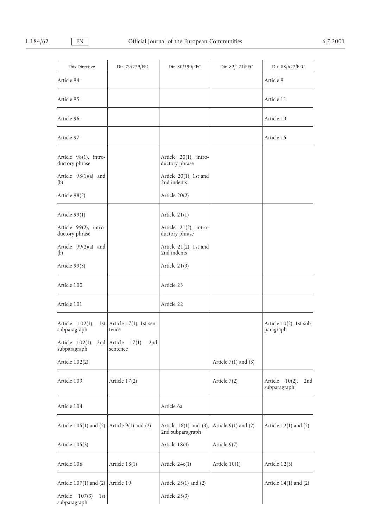| This Directive                            | Dir. 79/279/EEC                      | Dir. 80/390/EEC                            | Dir. 82/121/EEC          | Dir. 88/627/EEC                          |
|-------------------------------------------|--------------------------------------|--------------------------------------------|--------------------------|------------------------------------------|
| Article 94                                |                                      |                                            |                          | Article 9                                |
| Article 95                                |                                      |                                            |                          | Article 11                               |
| Article 96                                |                                      |                                            |                          | Article 13                               |
| Article 97                                |                                      |                                            |                          | Article 15                               |
| Article 98(1), intro-<br>ductory phrase   |                                      | Article 20(1), intro-<br>ductory phrase    |                          |                                          |
| Article $98(1)(a)$ and<br>(b)             |                                      | Article 20(1), 1st and<br>2nd indents      |                          |                                          |
| Article 98(2)                             |                                      | Article $20(2)$                            |                          |                                          |
| Article 99(1)                             |                                      | Article $21(1)$                            |                          |                                          |
| Article 99(2), intro-<br>ductory phrase   |                                      | Article 21(2), intro-<br>ductory phrase    |                          |                                          |
| Article 99(2)(a) and<br>(b)               |                                      | Article $21(2)$ , 1st and<br>2nd indents   |                          |                                          |
| Article $99(3)$                           |                                      | Article 21(3)                              |                          |                                          |
| Article 100                               |                                      | Article 23                                 |                          |                                          |
| Article 101                               |                                      | Article 22                                 |                          |                                          |
| Article $102(1)$ ,<br>1st<br>subparagraph | Article $17(1)$ , 1st sen-<br>tence  |                                            |                          | Article $10(2)$ , 1st sub-<br>paragraph  |
| Article 102(1),<br>2nd<br>subparagraph    | Article $17(1)$ ,<br>2nd<br>sentence |                                            |                          |                                          |
| Article 102(2)                            |                                      |                                            | Article $7(1)$ and $(3)$ |                                          |
| Article 103                               | Article 17(2)                        |                                            | Article 7(2)             | Article $10(2)$ ,<br>2nd<br>subparagraph |
| Article 104                               |                                      | Article 6a                                 |                          |                                          |
| Article 105(1) and (2)                    | Article $9(1)$ and $(2)$             | Article 18(1) and (3),<br>2nd subparagraph | Article $9(1)$ and $(2)$ | Article $12(1)$ and $(2)$                |
| Article 105(3)                            |                                      | Article 18(4)                              | Article 9(7)             |                                          |
| Article 106                               | Article 18(1)                        | Article 24c(1)                             | Article $10(1)$          | Article 12(3)                            |
| Article $107(1)$ and $(2)$                | Article 19                           | Article $25(1)$ and $(2)$                  |                          | Article $14(1)$ and $(2)$                |
| Article $107(3)$<br>1st<br>subparagraph   |                                      | Article 25(3)                              |                          |                                          |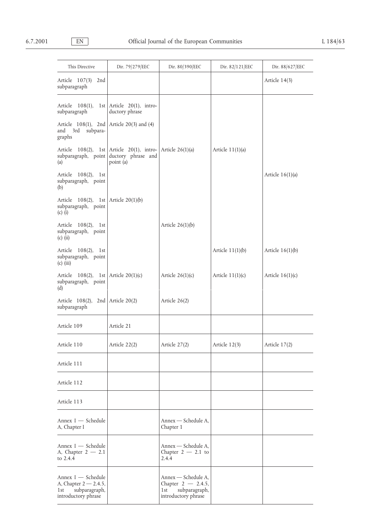| This Directive                                                                             | Dir. 79/279/EEC                                                                | Dir. 80/390/EEC                                                                             | Dir. 82/121/EEC    | Dir. 88/627/EEC    |
|--------------------------------------------------------------------------------------------|--------------------------------------------------------------------------------|---------------------------------------------------------------------------------------------|--------------------|--------------------|
| Article 107(3)<br>2 <sub>nd</sub><br>subparagraph                                          |                                                                                |                                                                                             |                    | Article $14(3)$    |
| Article 108(1),<br>1st<br>subparagraph                                                     | Article 20(1), intro-<br>ductory phrase                                        |                                                                                             |                    |                    |
| Article $108(1)$ , 2nd<br>subpara-<br>and<br>3rd<br>graphs                                 | Article $20(3)$ and $(4)$                                                      |                                                                                             |                    |                    |
| subparagraph, point<br>(a)                                                                 | Article 108(2), 1st   Article 20(1), intro-<br>ductory phrase and<br>point (a) | Article $26(1)(a)$                                                                          | Article $11(1)(a)$ |                    |
| Article 108(2), 1st<br>subparagraph, point<br>(b)                                          |                                                                                |                                                                                             |                    | Article $16(1)(a)$ |
| Article $108(2)$ , 1st Article 20(1)(b)<br>subparagraph, point<br>$(c)$ (i)                |                                                                                |                                                                                             |                    |                    |
| Article 108(2), 1st<br>subparagraph, point<br>$(c)$ (ii)                                   |                                                                                | Article $26(1)(b)$                                                                          |                    |                    |
| Article 108(2), 1st<br>subparagraph, point<br>$(c)$ (iii)                                  |                                                                                |                                                                                             | Article $11(1)(b)$ | Article $16(1)(b)$ |
| Article 108(2),<br>subparagraph, point<br>(d)                                              | 1st Article $20(1)(c)$                                                         | Article $26(1)(c)$                                                                          | Article $11(1)(c)$ | Article $16(1)(c)$ |
| Article $108(2)$ , 2nd<br>subparagraph                                                     | Article $20(2)$                                                                | Article $26(2)$                                                                             |                    |                    |
| Article 109                                                                                | Article 21                                                                     |                                                                                             |                    |                    |
| Article 110                                                                                | Article 22(2)                                                                  | Article $27(2)$                                                                             | Article $12(3)$    | Article $17(2)$    |
| Article 111                                                                                |                                                                                |                                                                                             |                    |                    |
| Article 112                                                                                |                                                                                |                                                                                             |                    |                    |
| Article 113                                                                                |                                                                                |                                                                                             |                    |                    |
| Annex I - Schedule<br>A, Chapter I                                                         |                                                                                | Annex - Schedule A,<br>Chapter 1                                                            |                    |                    |
| Annex I - Schedule<br>A, Chapter $2 - 2.1$<br>to 2.4.4                                     |                                                                                | Annex — Schedule A,<br>Chapter $2 - 2.1$ to<br>2.4.4                                        |                    |                    |
| Annex I - Schedule<br>A, Chapter 2 - 2.4.5,<br>subparagraph,<br>1st<br>introductory phrase |                                                                                | Annex - Schedule A,<br>Chapter $2 - 2.4.5$ ,<br>subparagraph,<br>1st<br>introductory phrase |                    |                    |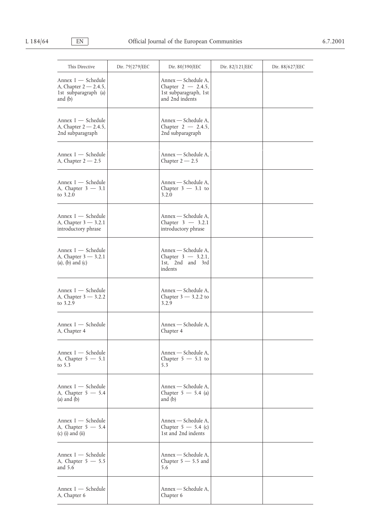| This Directive                                                                      | Dir. 79/279/EEC | Dir. 80/390/EEC                                                                          | Dir. 82/121/EEC | Dir. 88/627/EEC |
|-------------------------------------------------------------------------------------|-----------------|------------------------------------------------------------------------------------------|-----------------|-----------------|
| Annex I - Schedule<br>A, Chapter $2 - 2.4.5$ ,<br>1st subparagraph (a)<br>and $(b)$ |                 | Annex — Schedule A,<br>Chapter $2 - 2.4.5$ ,<br>1st subparagraph, 1st<br>and 2nd indents |                 |                 |
| Annex I - Schedule<br>A, Chapter $2 - 2.4.5$ ,<br>2nd subparagraph                  |                 | Annex — Schedule A,<br>Chapter $2 - 2.4.5$ ,<br>2nd subparagraph                         |                 |                 |
| Annex I — Schedule<br>A, Chapter $2 - 2.5$                                          |                 | Annex — Schedule A,<br>Chapter $2 - 2.5$                                                 |                 |                 |
| Annex I — Schedule<br>A, Chapter $3 - 3.1$<br>to $3.2.0$                            |                 | Annex — Schedule A,<br>Chapter $3 - 3.1$ to<br>3.2.0                                     |                 |                 |
| Annex I - Schedule<br>A, Chapter 3 - 3.2.1<br>introductory phrase                   |                 | Annex — Schedule A,<br>Chapter $3 - 3.2.1$<br>introductory phrase                        |                 |                 |
| Annex I - Schedule<br>A, Chapter $3 - 3.2.1$<br>$(a)$ , $(b)$ and $(c)$             |                 | Annex — Schedule A,<br>Chapter $3 - 3.2.1$ ,<br>1st, 2nd and 3rd<br>indents              |                 |                 |
| Annex I - Schedule<br>A, Chapter $3 - 3.2.2$<br>to $3.2.9$                          |                 | Annex — Schedule A,<br>Chapter $3 - 3.2.2$ to<br>3.2.9                                   |                 |                 |
| Annex I — Schedule<br>A, Chapter 4                                                  |                 | Annex — Schedule A,<br>Chapter 4                                                         |                 |                 |
| Annex I — Schedule<br>A, Chapter $5 - 5.1$<br>to $5.3$                              |                 | Annex — Schedule A,<br>Chapter $5 - 5.1$ to<br>5.3                                       |                 |                 |
| Annex I - Schedule<br>A, Chapter 5 - 5.4<br>(a) and $(b)$                           |                 | Annex - Schedule A,<br>Chapter $5 - 5.4$ (a)<br>and $(b)$                                |                 |                 |
| Annex I — Schedule<br>A, Chapter $5 - 5.4$<br>$(c)$ (i) and (ii)                    |                 | Annex - Schedule A,<br>Chapter $5 - 5.4$ (c)<br>1st and 2nd indents                      |                 |                 |
| Annex I — Schedule<br>A, Chapter 5 - 5.5<br>and $5.6$                               |                 | Annex — Schedule A,<br>Chapter $5 - 5.5$ and<br>5.6                                      |                 |                 |
| Annex I - Schedule<br>A, Chapter 6                                                  |                 | Annex — Schedule A.<br>Chapter 6                                                         |                 |                 |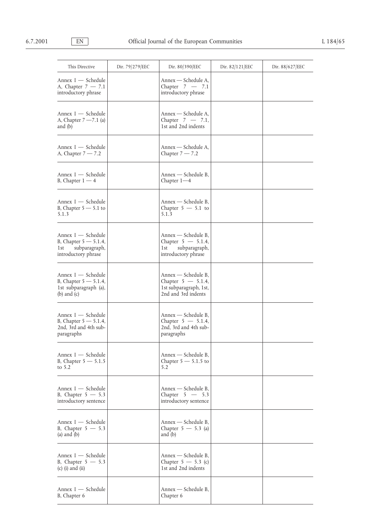| This Directive                                                                                | Dir. 79/279/EEC | Dir. 80/390/EEC                                                                               | Dir. 82/121/EEC | Dir. 88/627/EEC |
|-----------------------------------------------------------------------------------------------|-----------------|-----------------------------------------------------------------------------------------------|-----------------|-----------------|
| Annex I - Schedule<br>A, Chapter 7 - 7.1<br>introductory phrase                               |                 | Annex — Schedule A,<br>Chapter $7 - 7.1$<br>introductory phrase                               |                 |                 |
| Annex I - Schedule<br>A, Chapter $7 - 7.1$ (a)<br>and $(b)$                                   |                 | Annex — Schedule A.<br>Chapter $7 - 7.1$ ,<br>1st and 2nd indents                             |                 |                 |
| Annex I - Schedule<br>A, Chapter $7 - 7.2$                                                    |                 | Annex — Schedule A,<br>Chapter $7 - 7.2$                                                      |                 |                 |
| Annex I - Schedule<br>B, Chapter $1 - 4$                                                      |                 | Annex — Schedule B,<br>Chapter $1-4$                                                          |                 |                 |
| Annex I - Schedule<br>B, Chapter $5 - 5.1$ to<br>5.1.3                                        |                 | Annex — Schedule B,<br>Chapter $5 - 5.1$ to<br>5.1.3                                          |                 |                 |
| Annex I — Schedule<br>B, Chapter $5 - 5.1.4$ ,<br>subparagraph,<br>1st<br>introductory phrase |                 | Annex — Schedule B,<br>Chapter $5 - 5.1.4$ ,<br>subparagraph,<br>1st<br>introductory phrase   |                 |                 |
| Annex I - Schedule<br>B, Chapter $5 - 5.1.4$ ,<br>1st subparagraph (a),<br>$(b)$ and $(c)$    |                 | Annex — Schedule B,<br>Chapter $5 - 5.1.4$ ,<br>1st subparagraph, 1st,<br>2nd and 3rd indents |                 |                 |
| Annex I - Schedule<br>B, Chapter $5 - 5.1.4$ ,<br>2nd, 3rd and 4th sub-<br>paragraphs         |                 | Annex — Schedule B,<br>Chapter $5 - 5.1.4$ ,<br>2nd, 3rd and 4th sub-<br>paragraphs           |                 |                 |
| Annex I - Schedule<br>B, Chapter 5 - 5.1.5<br>to $5.2$                                        |                 | Annex - Schedule B,<br>Chapter $5 - 5.1.5$ to<br>5.2                                          |                 |                 |
| Annex I - Schedule<br>B, Chapter $5 - 5.3$<br>introductory sentence                           |                 | Annex — Schedule B,<br>Chapter $5 - 5.3$<br>introductory sentence                             |                 |                 |
| Annex I - Schedule<br>B, Chapter $5 - 5.3$<br>(a) and $(b)$                                   |                 | Annex — Schedule B,<br>Chapter $5 - 5.3$ (a)<br>and $(b)$                                     |                 |                 |
| Annex I - Schedule<br>B, Chapter $5 - 5.3$<br>$(c)$ (i) and (ii)                              |                 | Annex — Schedule B,<br>Chapter $5 - 5.3$ (c)<br>1st and 2nd indents                           |                 |                 |
| Annex I - Schedule<br>B, Chapter 6                                                            |                 | Annex — Schedule B.<br>Chapter 6                                                              |                 |                 |